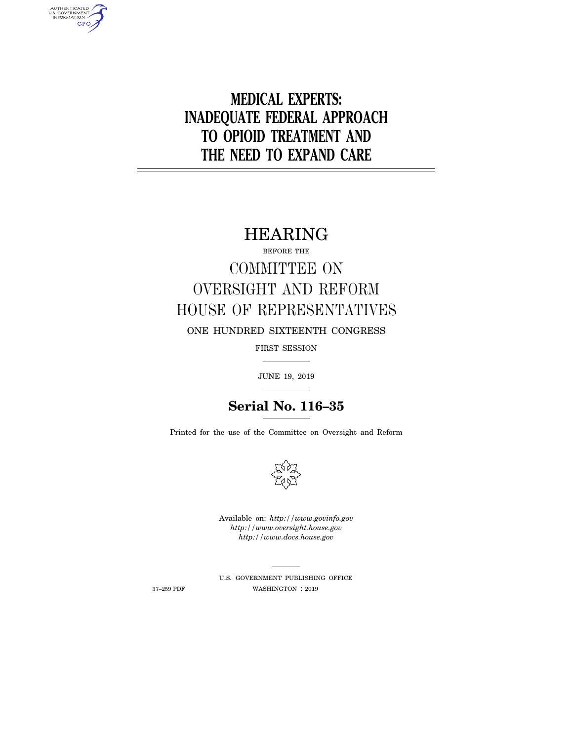# **MEDICAL EXPERTS: INADEQUATE FEDERAL APPROACH TO OPIOID TREATMENT AND THE NEED TO EXPAND CARE**

# HEARING

BEFORE THE

# COMMITTEE ON OVERSIGHT AND REFORM HOUSE OF REPRESENTATIVES

ONE HUNDRED SIXTEENTH CONGRESS

FIRST SESSION

JUNE 19, 2019

## **Serial No. 116–35**

Printed for the use of the Committee on Oversight and Reform



Available on: *http://www.govinfo.gov http://www.oversight.house.gov http://www.docs.house.gov* 

AUTHENTICATED<br>U.S. GOVERNMENT<br>INFORMATION **GPO** 

> U.S. GOVERNMENT PUBLISHING OFFICE 37–259 PDF WASHINGTON : 2019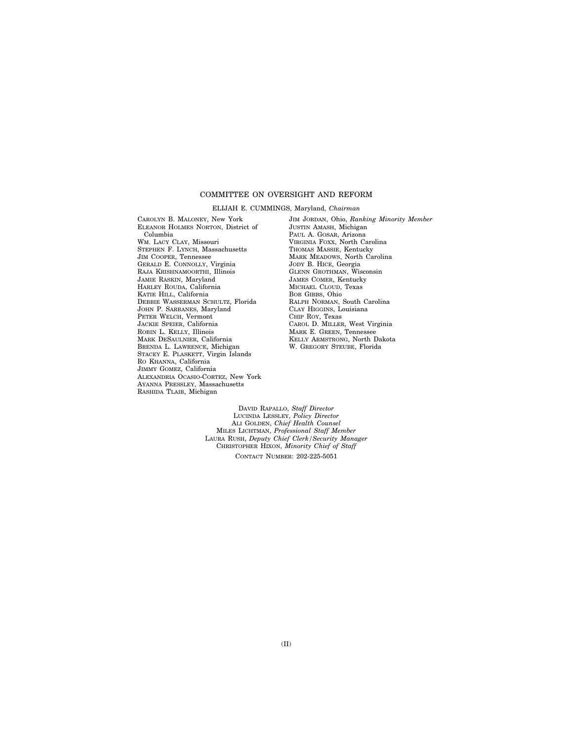#### COMMITTEE ON OVERSIGHT AND REFORM

ELIJAH E. CUMMINGS, Maryland, *Chairman* 

CAROLYN B. MALONEY, New York ELEANOR HOLMES NORTON, District of Columbia WM. LACY CLAY, Missouri STEPHEN F. LYNCH, Massachusetts JIM COOPER, Tennessee GERALD E. CONNOLLY, Virginia RAJA KRISHNAMOORTHI, Illinois JAMIE RASKIN, Maryland HARLEY ROUDA, California KATIE HILL, California DEBBIE WASSERMAN SCHULTZ, Florida JOHN P. SARBANES, Maryland PETER WELCH, Vermont JACKIE SPEIER, California ROBIN L. KELLY, Illinois MARK DESAULNIER, California BRENDA L. LAWRENCE, Michigan STACEY E. PLASKETT, Virgin Islands RO KHANNA, California JIMMY GOMEZ, California ALEXANDRIA OCASIO-CORTEZ, New York AYANNA PRESSLEY, Massachusetts RASHIDA TLAIB, Michigan

JIM JORDAN, Ohio, *Ranking Minority Member*  JUSTIN AMASH, Michigan PAUL A. GOSAR, Arizona VIRGINIA FOXX, North Carolina THOMAS MASSIE, Kentucky MARK MEADOWS, North Carolina JODY B. HICE, Georgia GLENN GROTHMAN, Wisconsin JAMES COMER, Kentucky MICHAEL CLOUD, Texas BOB GIBBS, Ohio RALPH NORMAN, South Carolina CLAY HIGGINS, Louisiana CHIP ROY, Texas CAROL D. MILLER, West Virginia MARK E. GREEN, Tennessee KELLY ARMSTRONG, North Dakota W. GREGORY STEUBE, Florida

DAVID RAPALLO, *Staff Director*  LUCINDA LESSLEY, *Policy Director*  ALI GOLDEN, *Chief Health Counsel*  MILES LICHTMAN, *Professional Staff Member*  LAURA RUSH, *Deputy Chief Clerk/Security Manager*  CHRISTOPHER HIXON, *Minority Chief of Staff*  CONTACT NUMBER: 202-225-5051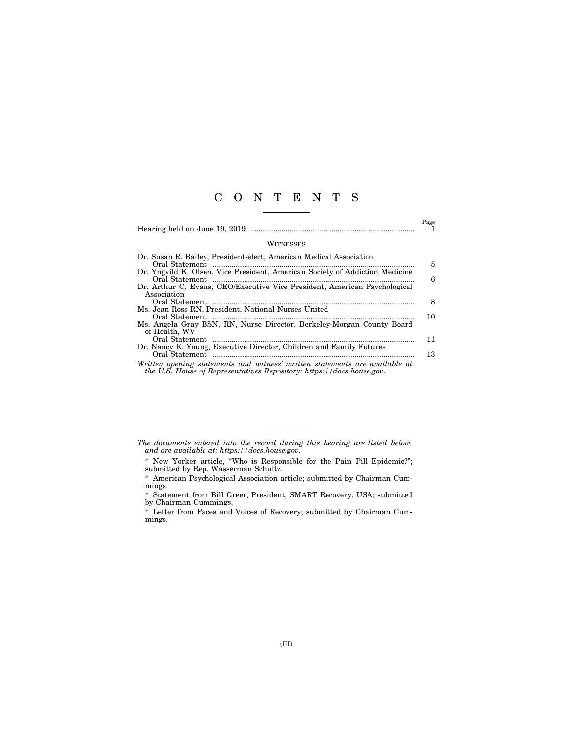## C O N T E N T S

|                                                                                                                                                      | Page     |
|------------------------------------------------------------------------------------------------------------------------------------------------------|----------|
| WITNESSES                                                                                                                                            |          |
| Dr. Susan R. Bailey, President-elect, American Medical Association<br>Dr. Yngvild K. Olsen, Vice President, American Society of Addiction Medicine   | 5<br>6   |
| Dr. Arthur C. Evans, CEO/Executive Vice President, American Psychological<br>Association                                                             | 8        |
| Ms. Jean Ross RN, President, National Nurses United<br>Ms. Angela Gray BSN, RN, Nurse Director, Berkeley-Morgan County Board<br>of Health, WV        | 10       |
| Dr. Nancy K. Young, Executive Director, Children and Family Futures                                                                                  | 11<br>13 |
| Written opening statements and witness' written statements are available at<br>the U.S. House of Representatives Repository: https://docs.house.gov. |          |

- *The documents entered into the record during this hearing are listed below, and are available at: https://docs.house.gov.* 
	- \* New Yorker article, ''Who is Responsible for the Pain Pill Epidemic?''; submitted by Rep. Wasserman Schultz.
	- \* American Psychological Association article; submitted by Chairman Cummings.
	- \* Statement from Bill Greer, President, SMART Recovery, USA; submitted by Chairman Cummings.
	- \* Letter from Faces and Voices of Recovery; submitted by Chairman Cummings.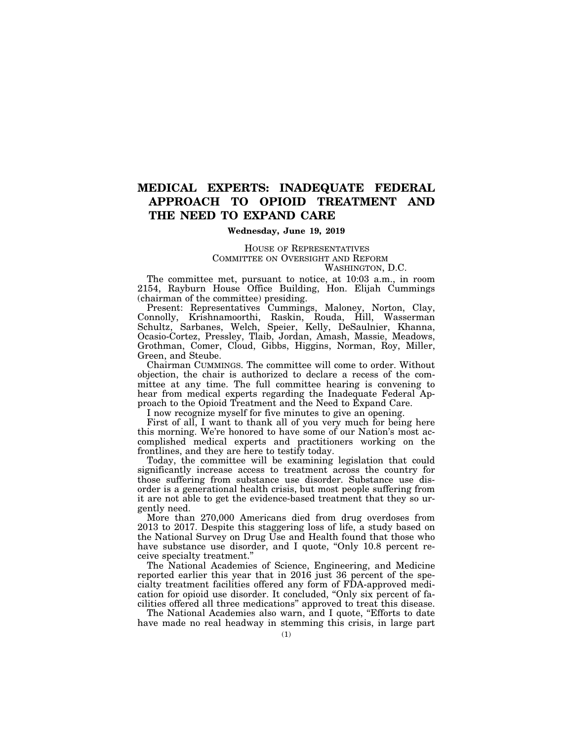## **MEDICAL EXPERTS: INADEQUATE FEDERAL APPROACH TO OPIOID TREATMENT AND THE NEED TO EXPAND CARE**

#### **Wednesday, June 19, 2019**

#### HOUSE OF REPRESENTATIVES COMMITTEE ON OVERSIGHT AND REFORM WASHINGTON, D.C.

The committee met, pursuant to notice, at 10:03 a.m., in room 2154, Rayburn House Office Building, Hon. Elijah Cummings (chairman of the committee) presiding.

Present: Representatives Cummings, Maloney, Norton, Clay, Connolly, Krishnamoorthi, Raskin, Rouda, Hill, Wasserman Schultz, Sarbanes, Welch, Speier, Kelly, DeSaulnier, Khanna, Ocasio-Cortez, Pressley, Tlaib, Jordan, Amash, Massie, Meadows, Grothman, Comer, Cloud, Gibbs, Higgins, Norman, Roy, Miller, Green, and Steube.

Chairman CUMMINGS. The committee will come to order. Without objection, the chair is authorized to declare a recess of the committee at any time. The full committee hearing is convening to hear from medical experts regarding the Inadequate Federal Approach to the Opioid Treatment and the Need to Expand Care.

I now recognize myself for five minutes to give an opening.

First of all, I want to thank all of you very much for being here this morning. We're honored to have some of our Nation's most accomplished medical experts and practitioners working on the frontlines, and they are here to testify today.

Today, the committee will be examining legislation that could significantly increase access to treatment across the country for those suffering from substance use disorder. Substance use disorder is a generational health crisis, but most people suffering from it are not able to get the evidence-based treatment that they so urgently need.

More than 270,000 Americans died from drug overdoses from 2013 to 2017. Despite this staggering loss of life, a study based on the National Survey on Drug Use and Health found that those who have substance use disorder, and I quote, "Only 10.8 percent receive specialty treatment.''

The National Academies of Science, Engineering, and Medicine reported earlier this year that in 2016 just 36 percent of the specialty treatment facilities offered any form of FDA-approved medication for opioid use disorder. It concluded, ''Only six percent of facilities offered all three medications'' approved to treat this disease.

The National Academies also warn, and I quote, "Efforts to date have made no real headway in stemming this crisis, in large part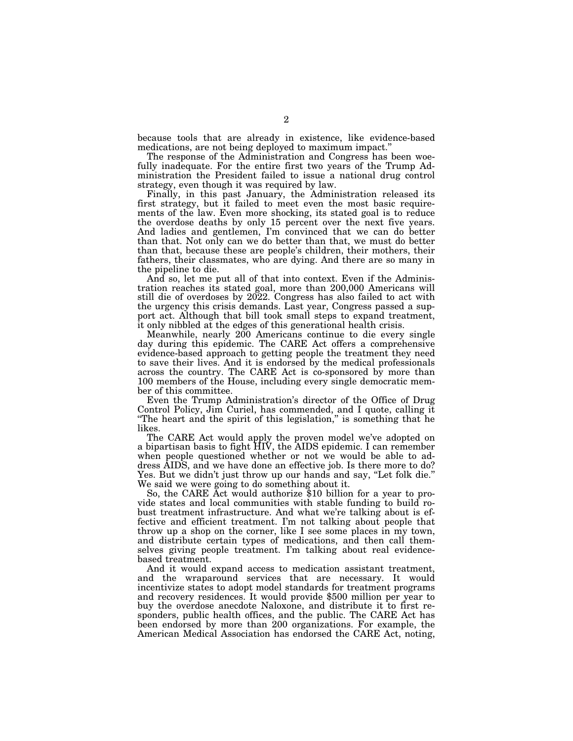because tools that are already in existence, like evidence-based medications, are not being deployed to maximum impact.''

The response of the Administration and Congress has been woefully inadequate. For the entire first two years of the Trump Administration the President failed to issue a national drug control strategy, even though it was required by law.

Finally, in this past January, the Administration released its first strategy, but it failed to meet even the most basic requirements of the law. Even more shocking, its stated goal is to reduce the overdose deaths by only 15 percent over the next five years. And ladies and gentlemen, I'm convinced that we can do better than that. Not only can we do better than that, we must do better than that, because these are people's children, their mothers, their fathers, their classmates, who are dying. And there are so many in the pipeline to die.

And so, let me put all of that into context. Even if the Administration reaches its stated goal, more than 200,000 Americans will still die of overdoses by 2022. Congress has also failed to act with the urgency this crisis demands. Last year, Congress passed a support act. Although that bill took small steps to expand treatment, it only nibbled at the edges of this generational health crisis.

Meanwhile, nearly 200 Americans continue to die every single day during this epidemic. The CARE Act offers a comprehensive evidence-based approach to getting people the treatment they need to save their lives. And it is endorsed by the medical professionals across the country. The CARE Act is co-sponsored by more than 100 members of the House, including every single democratic member of this committee.

Even the Trump Administration's director of the Office of Drug Control Policy, Jim Curiel, has commended, and I quote, calling it ''The heart and the spirit of this legislation,'' is something that he likes.

The CARE Act would apply the proven model we've adopted on a bipartisan basis to fight HIV, the AIDS epidemic. I can remember when people questioned whether or not we would be able to address AIDS, and we have done an effective job. Is there more to do? Yes. But we didn't just throw up our hands and say, "Let folk die." We said we were going to do something about it.

So, the CARE Act would authorize \$10 billion for a year to provide states and local communities with stable funding to build robust treatment infrastructure. And what we're talking about is effective and efficient treatment. I'm not talking about people that throw up a shop on the corner, like I see some places in my town, and distribute certain types of medications, and then call themselves giving people treatment. I'm talking about real evidencebased treatment.

And it would expand access to medication assistant treatment, and the wraparound services that are necessary. It would incentivize states to adopt model standards for treatment programs and recovery residences. It would provide \$500 million per year to buy the overdose anecdote Naloxone, and distribute it to first responders, public health offices, and the public. The CARE Act has been endorsed by more than 200 organizations. For example, the American Medical Association has endorsed the CARE Act, noting,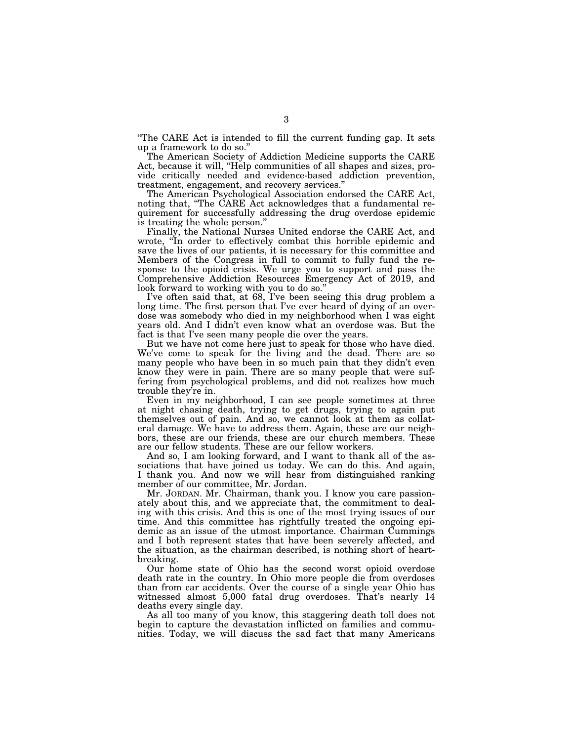''The CARE Act is intended to fill the current funding gap. It sets up a framework to do so.''

The American Society of Addiction Medicine supports the CARE Act, because it will, "Help communities of all shapes and sizes, provide critically needed and evidence-based addiction prevention, treatment, engagement, and recovery services.''

The American Psychological Association endorsed the CARE Act, noting that, "The CARE Act acknowledges that a fundamental requirement for successfully addressing the drug overdose epidemic is treating the whole person.''

Finally, the National Nurses United endorse the CARE Act, and wrote, "In order to effectively combat this horrible epidemic and save the lives of our patients, it is necessary for this committee and Members of the Congress in full to commit to fully fund the response to the opioid crisis. We urge you to support and pass the Comprehensive Addiction Resources Emergency Act of 2019, and look forward to working with you to do so.''

I've often said that, at 68, I've been seeing this drug problem a long time. The first person that I've ever heard of dying of an overdose was somebody who died in my neighborhood when I was eight years old. And I didn't even know what an overdose was. But the fact is that I've seen many people die over the years.

But we have not come here just to speak for those who have died. We've come to speak for the living and the dead. There are so many people who have been in so much pain that they didn't even know they were in pain. There are so many people that were suffering from psychological problems, and did not realizes how much trouble they're in.

Even in my neighborhood, I can see people sometimes at three at night chasing death, trying to get drugs, trying to again put themselves out of pain. And so, we cannot look at them as collateral damage. We have to address them. Again, these are our neighbors, these are our friends, these are our church members. These are our fellow students. These are our fellow workers.

And so, I am looking forward, and I want to thank all of the associations that have joined us today. We can do this. And again, I thank you. And now we will hear from distinguished ranking member of our committee, Mr. Jordan.

Mr. JORDAN. Mr. Chairman, thank you. I know you care passionately about this, and we appreciate that, the commitment to dealing with this crisis. And this is one of the most trying issues of our time. And this committee has rightfully treated the ongoing epidemic as an issue of the utmost importance. Chairman Cummings and I both represent states that have been severely affected, and the situation, as the chairman described, is nothing short of heartbreaking.

Our home state of Ohio has the second worst opioid overdose death rate in the country. In Ohio more people die from overdoses than from car accidents. Over the course of a single year Ohio has witnessed almost 5,000 fatal drug overdoses. That's nearly 14 deaths every single day.

As all too many of you know, this staggering death toll does not begin to capture the devastation inflicted on families and communities. Today, we will discuss the sad fact that many Americans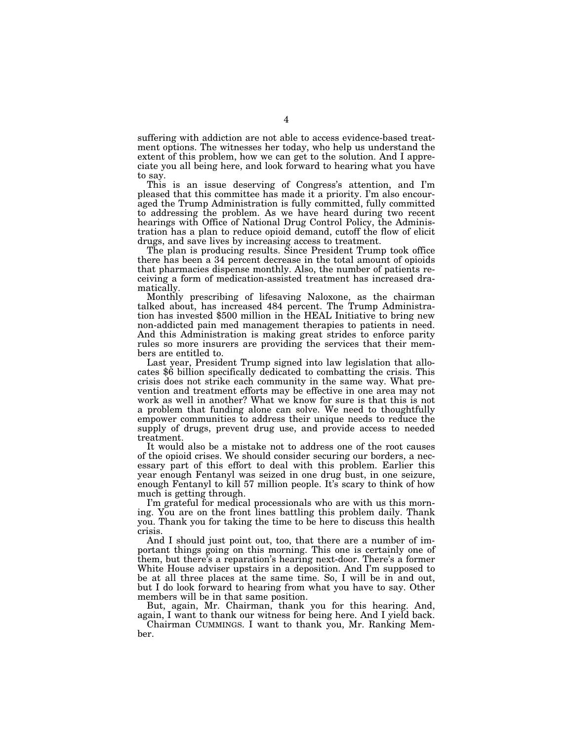suffering with addiction are not able to access evidence-based treatment options. The witnesses her today, who help us understand the extent of this problem, how we can get to the solution. And I appreciate you all being here, and look forward to hearing what you have to say.

This is an issue deserving of Congress's attention, and I'm pleased that this committee has made it a priority. I'm also encouraged the Trump Administration is fully committed, fully committed to addressing the problem. As we have heard during two recent hearings with Office of National Drug Control Policy, the Administration has a plan to reduce opioid demand, cutoff the flow of elicit drugs, and save lives by increasing access to treatment.

The plan is producing results. Since President Trump took office there has been a 34 percent decrease in the total amount of opioids that pharmacies dispense monthly. Also, the number of patients receiving a form of medication-assisted treatment has increased dramatically.

Monthly prescribing of lifesaving Naloxone, as the chairman talked about, has increased 484 percent. The Trump Administration has invested \$500 million in the HEAL Initiative to bring new non-addicted pain med management therapies to patients in need. And this Administration is making great strides to enforce parity rules so more insurers are providing the services that their members are entitled to.

Last year, President Trump signed into law legislation that allo- cates \$6 billion specifically dedicated to combatting the crisis. This crisis does not strike each community in the same way. What prevention and treatment efforts may be effective in one area may not work as well in another? What we know for sure is that this is not a problem that funding alone can solve. We need to thoughtfully empower communities to address their unique needs to reduce the supply of drugs, prevent drug use, and provide access to needed treatment.

It would also be a mistake not to address one of the root causes of the opioid crises. We should consider securing our borders, a necessary part of this effort to deal with this problem. Earlier this year enough Fentanyl was seized in one drug bust, in one seizure, enough Fentanyl to kill 57 million people. It's scary to think of how much is getting through.

I'm grateful for medical processionals who are with us this morning. You are on the front lines battling this problem daily. Thank you. Thank you for taking the time to be here to discuss this health crisis.

And I should just point out, too, that there are a number of important things going on this morning. This one is certainly one of them, but there's a reparation's hearing next-door. There's a former White House adviser upstairs in a deposition. And I'm supposed to be at all three places at the same time. So, I will be in and out, but I do look forward to hearing from what you have to say. Other members will be in that same position.

But, again, Mr. Chairman, thank you for this hearing. And, again, I want to thank our witness for being here. And I yield back.

Chairman CUMMINGS. I want to thank you, Mr. Ranking Member.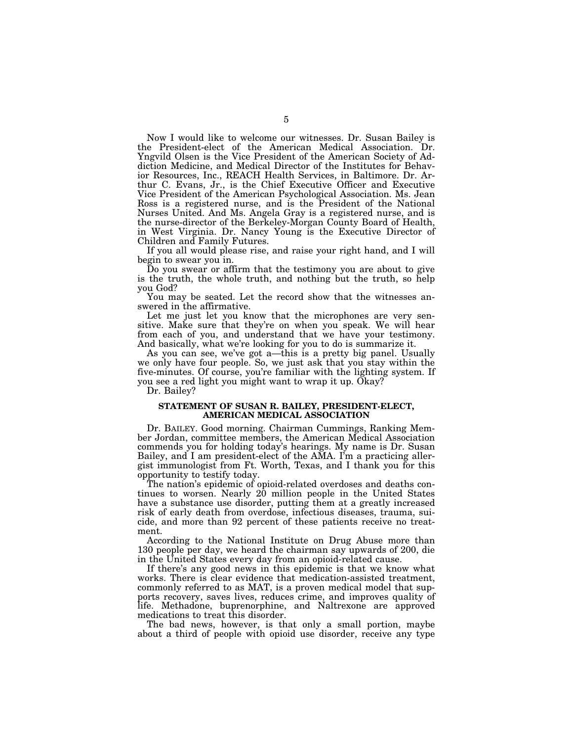Now I would like to welcome our witnesses. Dr. Susan Bailey is the President-elect of the American Medical Association. Dr. Yngvild Olsen is the Vice President of the American Society of Addiction Medicine, and Medical Director of the Institutes for Behavior Resources, Inc., REACH Health Services, in Baltimore. Dr. Arthur C. Evans, Jr., is the Chief Executive Officer and Executive Vice President of the American Psychological Association. Ms. Jean Ross is a registered nurse, and is the President of the National Nurses United. And Ms. Angela Gray is a registered nurse, and is the nurse-director of the Berkeley-Morgan County Board of Health, in West Virginia. Dr. Nancy Young is the Executive Director of Children and Family Futures.

If you all would please rise, and raise your right hand, and I will begin to swear you in.

Do you swear or affirm that the testimony you are about to give is the truth, the whole truth, and nothing but the truth, so help you God?

You may be seated. Let the record show that the witnesses answered in the affirmative.

Let me just let you know that the microphones are very sensitive. Make sure that they're on when you speak. We will hear from each of you, and understand that we have your testimony. And basically, what we're looking for you to do is summarize it.

As you can see, we've got a—this is a pretty big panel. Usually we only have four people. So, we just ask that you stay within the five-minutes. Of course, you're familiar with the lighting system. If you see a red light you might want to wrap it up. Okay?

Dr. Bailey?

#### **STATEMENT OF SUSAN R. BAILEY, PRESIDENT-ELECT, AMERICAN MEDICAL ASSOCIATION**

Dr. BAILEY. Good morning. Chairman Cummings, Ranking Member Jordan, committee members, the American Medical Association commends you for holding today's hearings. My name is Dr. Susan Bailey, and I am president-elect of the AMA. I'm a practicing allergist immunologist from Ft. Worth, Texas, and I thank you for this opportunity to testify today.

The nation's epidemic of opioid-related overdoses and deaths continues to worsen. Nearly 20 million people in the United States have a substance use disorder, putting them at a greatly increased risk of early death from overdose, infectious diseases, trauma, suicide, and more than 92 percent of these patients receive no treatment.

According to the National Institute on Drug Abuse more than 130 people per day, we heard the chairman say upwards of 200, die in the United States every day from an opioid-related cause.

If there's any good news in this epidemic is that we know what works. There is clear evidence that medication-assisted treatment, commonly referred to as MAT, is a proven medical model that supports recovery, saves lives, reduces crime, and improves quality of life. Methadone, buprenorphine, and Naltrexone are approved medications to treat this disorder.

The bad news, however, is that only a small portion, maybe about a third of people with opioid use disorder, receive any type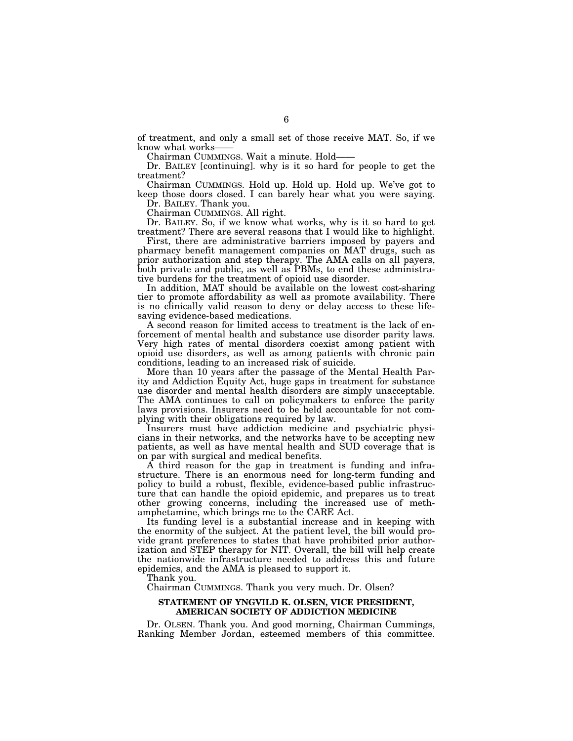of treatment, and only a small set of those receive MAT. So, if we know what works-

Chairman CUMMINGS. Wait a minute. Hold——

Dr. BAILEY [continuing]. why is it so hard for people to get the treatment?

Chairman CUMMINGS. Hold up. Hold up. Hold up. We've got to keep those doors closed. I can barely hear what you were saying. Dr. BAILEY. Thank you.

Chairman CUMMINGS. All right.

Dr. BAILEY. So, if we know what works, why is it so hard to get treatment? There are several reasons that I would like to highlight.

First, there are administrative barriers imposed by payers and pharmacy benefit management companies on MAT drugs, such as prior authorization and step therapy. The AMA calls on all payers, both private and public, as well as PBMs, to end these administrative burdens for the treatment of opioid use disorder.

In addition, MAT should be available on the lowest cost-sharing tier to promote affordability as well as promote availability. There is no clinically valid reason to deny or delay access to these lifesaving evidence-based medications.

A second reason for limited access to treatment is the lack of enforcement of mental health and substance use disorder parity laws. Very high rates of mental disorders coexist among patient with opioid use disorders, as well as among patients with chronic pain conditions, leading to an increased risk of suicide.

More than 10 years after the passage of the Mental Health Parity and Addiction Equity Act, huge gaps in treatment for substance use disorder and mental health disorders are simply unacceptable. The AMA continues to call on policymakers to enforce the parity laws provisions. Insurers need to be held accountable for not complying with their obligations required by law.

Insurers must have addiction medicine and psychiatric physicians in their networks, and the networks have to be accepting new patients, as well as have mental health and SUD coverage that is on par with surgical and medical benefits.

A third reason for the gap in treatment is funding and infrastructure. There is an enormous need for long-term funding and policy to build a robust, flexible, evidence-based public infrastructure that can handle the opioid epidemic, and prepares us to treat other growing concerns, including the increased use of methamphetamine, which brings me to the CARE Act.

Its funding level is a substantial increase and in keeping with the enormity of the subject. At the patient level, the bill would provide grant preferences to states that have prohibited prior authorization and STEP therapy for NIT. Overall, the bill will help create the nationwide infrastructure needed to address this and future epidemics, and the AMA is pleased to support it.

Thank you.

Chairman CUMMINGS. Thank you very much. Dr. Olsen?

#### **STATEMENT OF YNGVILD K. OLSEN, VICE PRESIDENT, AMERICAN SOCIETY OF ADDICTION MEDICINE**

Dr. OLSEN. Thank you. And good morning, Chairman Cummings, Ranking Member Jordan, esteemed members of this committee.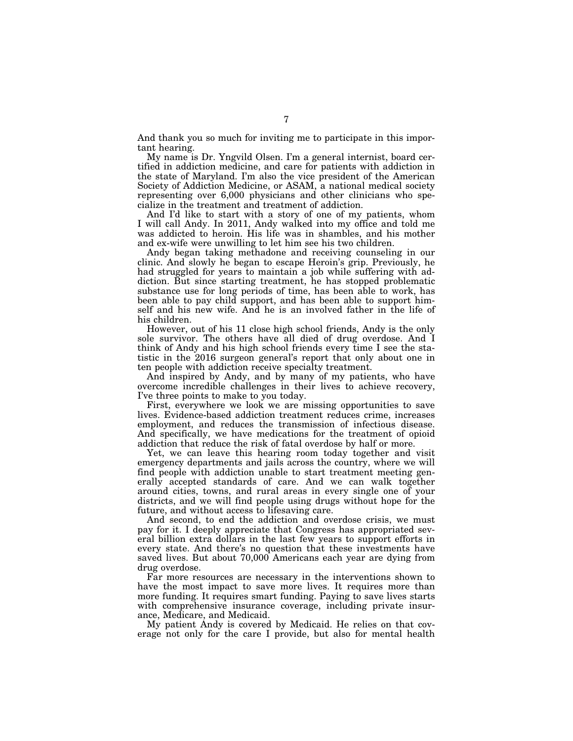And thank you so much for inviting me to participate in this important hearing.

My name is Dr. Yngvild Olsen. I'm a general internist, board certified in addiction medicine, and care for patients with addiction in the state of Maryland. I'm also the vice president of the American Society of Addiction Medicine, or ASAM, a national medical society representing over 6,000 physicians and other clinicians who specialize in the treatment and treatment of addiction.

And I'd like to start with a story of one of my patients, whom I will call Andy. In 2011, Andy walked into my office and told me was addicted to heroin. His life was in shambles, and his mother and ex-wife were unwilling to let him see his two children.

Andy began taking methadone and receiving counseling in our clinic. And slowly he began to escape Heroin's grip. Previously, he had struggled for years to maintain a job while suffering with addiction. But since starting treatment, he has stopped problematic substance use for long periods of time, has been able to work, has been able to pay child support, and has been able to support himself and his new wife. And he is an involved father in the life of his children.

However, out of his 11 close high school friends, Andy is the only sole survivor. The others have all died of drug overdose. And I think of Andy and his high school friends every time I see the statistic in the 2016 surgeon general's report that only about one in ten people with addiction receive specialty treatment.

And inspired by Andy, and by many of my patients, who have overcome incredible challenges in their lives to achieve recovery, I've three points to make to you today.

First, everywhere we look we are missing opportunities to save lives. Evidence-based addiction treatment reduces crime, increases employment, and reduces the transmission of infectious disease. And specifically, we have medications for the treatment of opioid addiction that reduce the risk of fatal overdose by half or more.

Yet, we can leave this hearing room today together and visit emergency departments and jails across the country, where we will find people with addiction unable to start treatment meeting generally accepted standards of care. And we can walk together around cities, towns, and rural areas in every single one of your districts, and we will find people using drugs without hope for the future, and without access to lifesaving care.

And second, to end the addiction and overdose crisis, we must pay for it. I deeply appreciate that Congress has appropriated several billion extra dollars in the last few years to support efforts in every state. And there's no question that these investments have saved lives. But about 70,000 Americans each year are dying from drug overdose.

Far more resources are necessary in the interventions shown to have the most impact to save more lives. It requires more than more funding. It requires smart funding. Paying to save lives starts with comprehensive insurance coverage, including private insurance, Medicare, and Medicaid.

My patient Andy is covered by Medicaid. He relies on that coverage not only for the care I provide, but also for mental health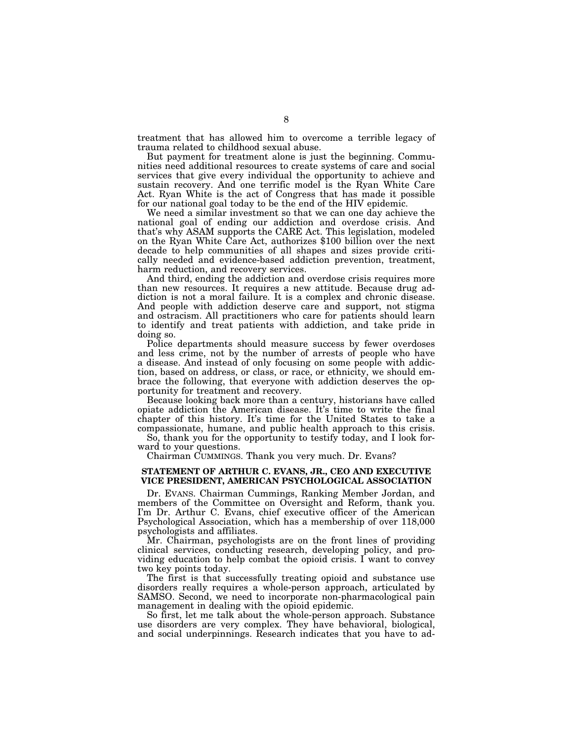treatment that has allowed him to overcome a terrible legacy of trauma related to childhood sexual abuse.

But payment for treatment alone is just the beginning. Communities need additional resources to create systems of care and social services that give every individual the opportunity to achieve and sustain recovery. And one terrific model is the Ryan White Care Act. Ryan White is the act of Congress that has made it possible for our national goal today to be the end of the HIV epidemic.

We need a similar investment so that we can one day achieve the national goal of ending our addiction and overdose crisis. And that's why ASAM supports the CARE Act. This legislation, modeled on the Ryan White Care Act, authorizes \$100 billion over the next decade to help communities of all shapes and sizes provide critically needed and evidence-based addiction prevention, treatment, harm reduction, and recovery services.

And third, ending the addiction and overdose crisis requires more than new resources. It requires a new attitude. Because drug addiction is not a moral failure. It is a complex and chronic disease. And people with addiction deserve care and support, not stigma and ostracism. All practitioners who care for patients should learn to identify and treat patients with addiction, and take pride in doing so.

Police departments should measure success by fewer overdoses and less crime, not by the number of arrests of people who have a disease. And instead of only focusing on some people with addiction, based on address, or class, or race, or ethnicity, we should embrace the following, that everyone with addiction deserves the opportunity for treatment and recovery.

Because looking back more than a century, historians have called opiate addiction the American disease. It's time to write the final chapter of this history. It's time for the United States to take a compassionate, humane, and public health approach to this crisis.

So, thank you for the opportunity to testify today, and I look forward to your questions.

Chairman CUMMINGS. Thank you very much. Dr. Evans?

#### **STATEMENT OF ARTHUR C. EVANS, JR., CEO AND EXECUTIVE VICE PRESIDENT, AMERICAN PSYCHOLOGICAL ASSOCIATION**

Dr. EVANS. Chairman Cummings, Ranking Member Jordan, and members of the Committee on Oversight and Reform, thank you. I'm Dr. Arthur C. Evans, chief executive officer of the American Psychological Association, which has a membership of over 118,000 psychologists and affiliates.

Mr. Chairman, psychologists are on the front lines of providing clinical services, conducting research, developing policy, and providing education to help combat the opioid crisis. I want to convey two key points today.

The first is that successfully treating opioid and substance use disorders really requires a whole-person approach, articulated by SAMSO. Second, we need to incorporate non-pharmacological pain management in dealing with the opioid epidemic.

So first, let me talk about the whole-person approach. Substance use disorders are very complex. They have behavioral, biological, and social underpinnings. Research indicates that you have to ad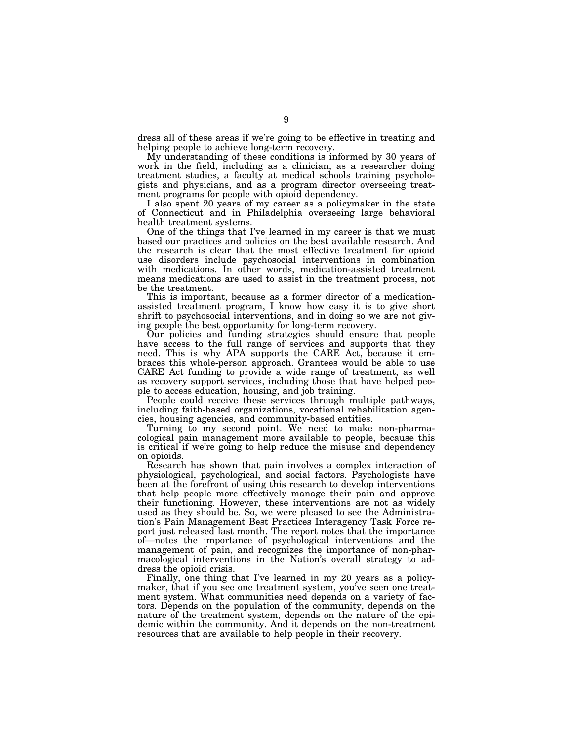dress all of these areas if we're going to be effective in treating and helping people to achieve long-term recovery.

My understanding of these conditions is informed by 30 years of work in the field, including as a clinician, as a researcher doing treatment studies, a faculty at medical schools training psychologists and physicians, and as a program director overseeing treatment programs for people with opioid dependency.

I also spent 20 years of my career as a policymaker in the state of Connecticut and in Philadelphia overseeing large behavioral health treatment systems.

One of the things that I've learned in my career is that we must based our practices and policies on the best available research. And the research is clear that the most effective treatment for opioid use disorders include psychosocial interventions in combination with medications. In other words, medication-assisted treatment means medications are used to assist in the treatment process, not be the treatment.

This is important, because as a former director of a medicationassisted treatment program, I know how easy it is to give short shrift to psychosocial interventions, and in doing so we are not giving people the best opportunity for long-term recovery.

Our policies and funding strategies should ensure that people have access to the full range of services and supports that they need. This is why APA supports the CARE Act, because it embraces this whole-person approach. Grantees would be able to use CARE Act funding to provide a wide range of treatment, as well as recovery support services, including those that have helped people to access education, housing, and job training.

People could receive these services through multiple pathways, including faith-based organizations, vocational rehabilitation agencies, housing agencies, and community-based entities.

Turning to my second point. We need to make non-pharmacological pain management more available to people, because this is critical if we're going to help reduce the misuse and dependency on opioids.

Research has shown that pain involves a complex interaction of physiological, psychological, and social factors. Psychologists have been at the forefront of using this research to develop interventions that help people more effectively manage their pain and approve their functioning. However, these interventions are not as widely used as they should be. So, we were pleased to see the Administration's Pain Management Best Practices Interagency Task Force report just released last month. The report notes that the importance of—notes the importance of psychological interventions and the management of pain, and recognizes the importance of non-pharmacological interventions in the Nation's overall strategy to address the opioid crisis.

Finally, one thing that I've learned in my 20 years as a policymaker, that if you see one treatment system, you've seen one treatment system. What communities need depends on a variety of factors. Depends on the population of the community, depends on the nature of the treatment system, depends on the nature of the epidemic within the community. And it depends on the non-treatment resources that are available to help people in their recovery.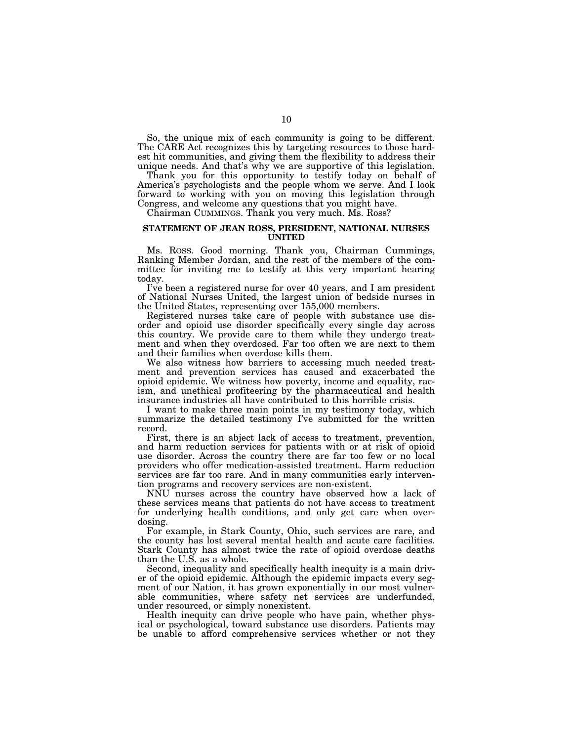So, the unique mix of each community is going to be different. The CARE Act recognizes this by targeting resources to those hardest hit communities, and giving them the flexibility to address their unique needs. And that's why we are supportive of this legislation.

Thank you for this opportunity to testify today on behalf of America's psychologists and the people whom we serve. And I look forward to working with you on moving this legislation through Congress, and welcome any questions that you might have.

Chairman CUMMINGS. Thank you very much. Ms. Ross?

#### **STATEMENT OF JEAN ROSS, PRESIDENT, NATIONAL NURSES UNITED**

Ms. ROSS. Good morning. Thank you, Chairman Cummings, Ranking Member Jordan, and the rest of the members of the committee for inviting me to testify at this very important hearing today.

I've been a registered nurse for over 40 years, and I am president of National Nurses United, the largest union of bedside nurses in the United States, representing over 155,000 members.

Registered nurses take care of people with substance use disorder and opioid use disorder specifically every single day across this country. We provide care to them while they undergo treatment and when they overdosed. Far too often we are next to them and their families when overdose kills them.

We also witness how barriers to accessing much needed treatment and prevention services has caused and exacerbated the opioid epidemic. We witness how poverty, income and equality, racism, and unethical profiteering by the pharmaceutical and health insurance industries all have contributed to this horrible crisis.

I want to make three main points in my testimony today, which summarize the detailed testimony I've submitted for the written record.

First, there is an abject lack of access to treatment, prevention, and harm reduction services for patients with or at risk of opioid use disorder. Across the country there are far too few or no local providers who offer medication-assisted treatment. Harm reduction services are far too rare. And in many communities early intervention programs and recovery services are non-existent.

NNU nurses across the country have observed how a lack of these services means that patients do not have access to treatment for underlying health conditions, and only get care when overdosing.

For example, in Stark County, Ohio, such services are rare, and the county has lost several mental health and acute care facilities. Stark County has almost twice the rate of opioid overdose deaths than the U.S. as a whole.

Second, inequality and specifically health inequity is a main driver of the opioid epidemic. Although the epidemic impacts every segment of our Nation, it has grown exponentially in our most vulnerable communities, where safety net services are underfunded, under resourced, or simply nonexistent.

Health inequity can drive people who have pain, whether physical or psychological, toward substance use disorders. Patients may be unable to afford comprehensive services whether or not they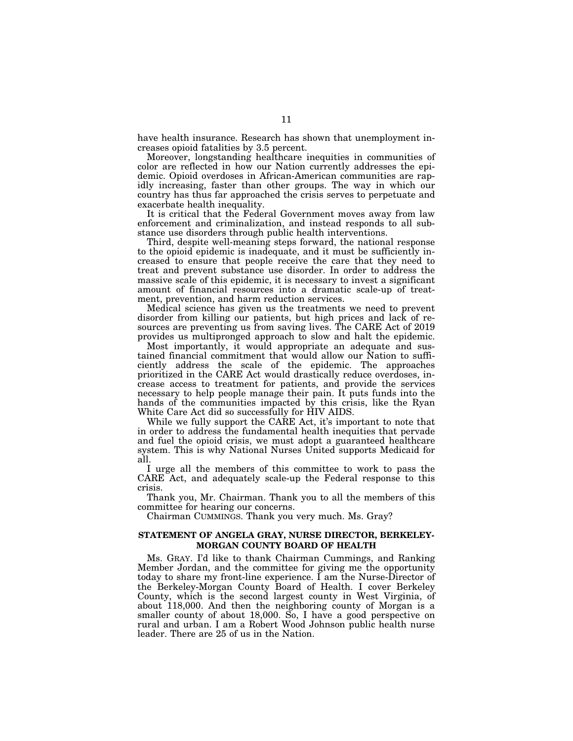have health insurance. Research has shown that unemployment increases opioid fatalities by 3.5 percent.

Moreover, longstanding healthcare inequities in communities of color are reflected in how our Nation currently addresses the epidemic. Opioid overdoses in African-American communities are rapidly increasing, faster than other groups. The way in which our country has thus far approached the crisis serves to perpetuate and exacerbate health inequality.

It is critical that the Federal Government moves away from law enforcement and criminalization, and instead responds to all substance use disorders through public health interventions.

Third, despite well-meaning steps forward, the national response to the opioid epidemic is inadequate, and it must be sufficiently increased to ensure that people receive the care that they need to treat and prevent substance use disorder. In order to address the massive scale of this epidemic, it is necessary to invest a significant amount of financial resources into a dramatic scale-up of treatment, prevention, and harm reduction services.

Medical science has given us the treatments we need to prevent disorder from killing our patients, but high prices and lack of resources are preventing us from saving lives. The CARE Act of 2019 provides us multipronged approach to slow and halt the epidemic.

Most importantly, it would appropriate an adequate and sustained financial commitment that would allow our Nation to sufficiently address the scale of the epidemic. The approaches prioritized in the CARE Act would drastically reduce overdoses, increase access to treatment for patients, and provide the services necessary to help people manage their pain. It puts funds into the hands of the communities impacted by this crisis, like the Ryan White Care Act did so successfully for HIV AIDS.

While we fully support the CARE Act, it's important to note that in order to address the fundamental health inequities that pervade and fuel the opioid crisis, we must adopt a guaranteed healthcare system. This is why National Nurses United supports Medicaid for all.

I urge all the members of this committee to work to pass the CARE Act, and adequately scale-up the Federal response to this crisis.

Thank you, Mr. Chairman. Thank you to all the members of this committee for hearing our concerns.

Chairman CUMMINGS. Thank you very much. Ms. Gray?

#### **STATEMENT OF ANGELA GRAY, NURSE DIRECTOR, BERKELEY-MORGAN COUNTY BOARD OF HEALTH**

Ms. GRAY. I'd like to thank Chairman Cummings, and Ranking Member Jordan, and the committee for giving me the opportunity today to share my front-line experience. I am the Nurse-Director of the Berkeley-Morgan County Board of Health. I cover Berkeley County, which is the second largest county in West Virginia, of about 118,000. And then the neighboring county of Morgan is a smaller county of about 18,000. So, I have a good perspective on rural and urban. I am a Robert Wood Johnson public health nurse leader. There are 25 of us in the Nation.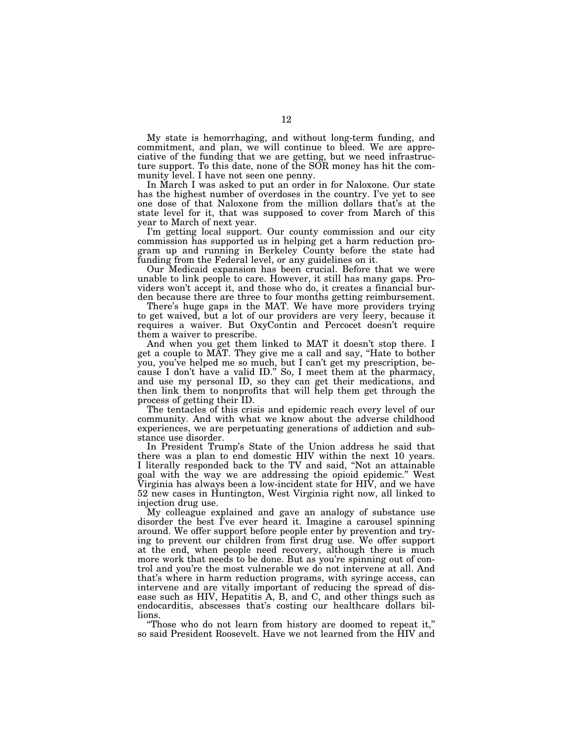My state is hemorrhaging, and without long-term funding, and commitment, and plan, we will continue to bleed. We are appreciative of the funding that we are getting, but we need infrastructure support. To this date, none of the SOR money has hit the community level. I have not seen one penny.

In March I was asked to put an order in for Naloxone. Our state has the highest number of overdoses in the country. I've yet to see one dose of that Naloxone from the million dollars that's at the state level for it, that was supposed to cover from March of this year to March of next year.

I'm getting local support. Our county commission and our city commission has supported us in helping get a harm reduction program up and running in Berkeley County before the state had funding from the Federal level, or any guidelines on it.

Our Medicaid expansion has been crucial. Before that we were unable to link people to care. However, it still has many gaps. Providers won't accept it, and those who do, it creates a financial burden because there are three to four months getting reimbursement.

There's huge gaps in the MAT. We have more providers trying to get waived, but a lot of our providers are very leery, because it requires a waiver. But OxyContin and Percocet doesn't require them a waiver to prescribe.

And when you get them linked to MAT it doesn't stop there. I get a couple to MAT. They give me a call and say, ''Hate to bother you, you've helped me so much, but I can't get my prescription, because I don't have a valid ID." So, I meet them at the pharmacy, and use my personal ID, so they can get their medications, and then link them to nonprofits that will help them get through the process of getting their ID.

The tentacles of this crisis and epidemic reach every level of our community. And with what we know about the adverse childhood experiences, we are perpetuating generations of addiction and substance use disorder.

In President Trump's State of the Union address he said that there was a plan to end domestic HIV within the next 10 years. I literally responded back to the TV and said, ''Not an attainable goal with the way we are addressing the opioid epidemic.'' West Virginia has always been a low-incident state for HIV, and we have 52 new cases in Huntington, West Virginia right now, all linked to injection drug use.

My colleague explained and gave an analogy of substance use disorder the best I've ever heard it. Imagine a carousel spinning around. We offer support before people enter by prevention and trying to prevent our children from first drug use. We offer support at the end, when people need recovery, although there is much more work that needs to be done. But as you're spinning out of control and you're the most vulnerable we do not intervene at all. And that's where in harm reduction programs, with syringe access, can intervene and are vitally important of reducing the spread of disease such as HIV, Hepatitis A, B, and C, and other things such as endocarditis, abscesses that's costing our healthcare dollars billions.

''Those who do not learn from history are doomed to repeat it,'' so said President Roosevelt. Have we not learned from the HIV and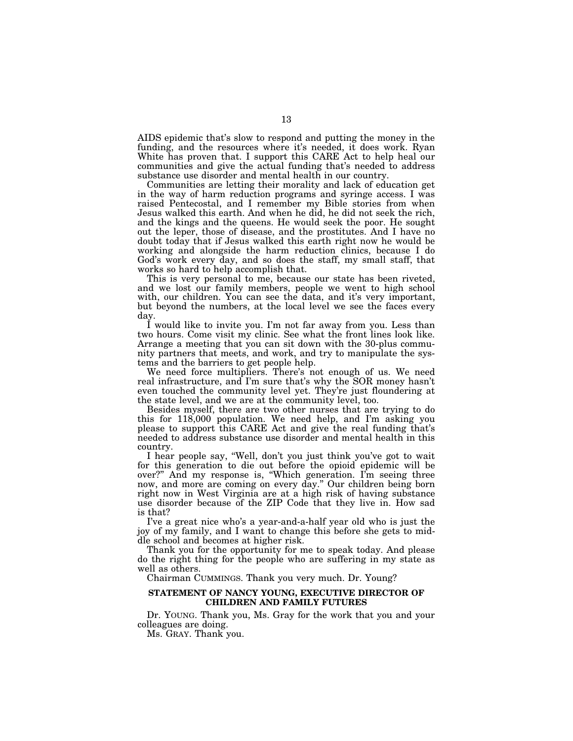AIDS epidemic that's slow to respond and putting the money in the funding, and the resources where it's needed, it does work. Ryan White has proven that. I support this CARE Act to help heal our communities and give the actual funding that's needed to address substance use disorder and mental health in our country.

Communities are letting their morality and lack of education get in the way of harm reduction programs and syringe access. I was raised Pentecostal, and I remember my Bible stories from when Jesus walked this earth. And when he did, he did not seek the rich, and the kings and the queens. He would seek the poor. He sought out the leper, those of disease, and the prostitutes. And I have no doubt today that if Jesus walked this earth right now he would be working and alongside the harm reduction clinics, because I do God's work every day, and so does the staff, my small staff, that works so hard to help accomplish that.

This is very personal to me, because our state has been riveted, and we lost our family members, people we went to high school with, our children. You can see the data, and it's very important, but beyond the numbers, at the local level we see the faces every day.

I would like to invite you. I'm not far away from you. Less than two hours. Come visit my clinic. See what the front lines look like. Arrange a meeting that you can sit down with the 30-plus community partners that meets, and work, and try to manipulate the systems and the barriers to get people help.

We need force multipliers. There's not enough of us. We need real infrastructure, and I'm sure that's why the SOR money hasn't even touched the community level yet. They're just floundering at the state level, and we are at the community level, too.

Besides myself, there are two other nurses that are trying to do this for 118,000 population. We need help, and I'm asking you please to support this CARE Act and give the real funding that's needed to address substance use disorder and mental health in this country.

I hear people say, ''Well, don't you just think you've got to wait for this generation to die out before the opioid epidemic will be over?'' And my response is, ''Which generation. I'm seeing three now, and more are coming on every day.'' Our children being born right now in West Virginia are at a high risk of having substance use disorder because of the ZIP Code that they live in. How sad is that?

I've a great nice who's a year-and-a-half year old who is just the joy of my family, and I want to change this before she gets to middle school and becomes at higher risk.

Thank you for the opportunity for me to speak today. And please do the right thing for the people who are suffering in my state as well as others.

Chairman CUMMINGS. Thank you very much. Dr. Young?

#### **STATEMENT OF NANCY YOUNG, EXECUTIVE DIRECTOR OF CHILDREN AND FAMILY FUTURES**

Dr. YOUNG. Thank you, Ms. Gray for the work that you and your colleagues are doing.

Ms. GRAY. Thank you.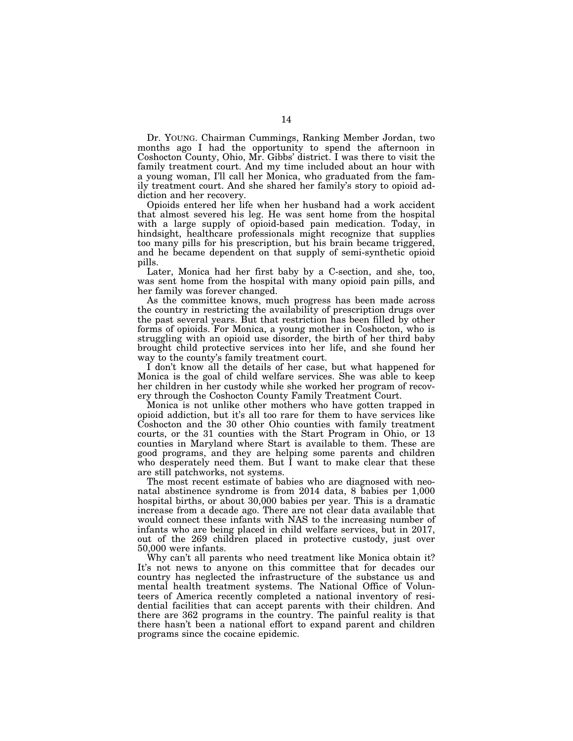Dr. YOUNG. Chairman Cummings, Ranking Member Jordan, two months ago I had the opportunity to spend the afternoon in Coshocton County, Ohio, Mr. Gibbs' district. I was there to visit the family treatment court. And my time included about an hour with a young woman, I'll call her Monica, who graduated from the family treatment court. And she shared her family's story to opioid addiction and her recovery.

Opioids entered her life when her husband had a work accident that almost severed his leg. He was sent home from the hospital with a large supply of opioid-based pain medication. Today, in hindsight, healthcare professionals might recognize that supplies too many pills for his prescription, but his brain became triggered, and he became dependent on that supply of semi-synthetic opioid pills.

Later, Monica had her first baby by a C-section, and she, too, was sent home from the hospital with many opioid pain pills, and her family was forever changed.

As the committee knows, much progress has been made across the country in restricting the availability of prescription drugs over the past several years. But that restriction has been filled by other forms of opioids. For Monica, a young mother in Coshocton, who is struggling with an opioid use disorder, the birth of her third baby brought child protective services into her life, and she found her way to the county's family treatment court.

I don't know all the details of her case, but what happened for Monica is the goal of child welfare services. She was able to keep her children in her custody while she worked her program of recovery through the Coshocton County Family Treatment Court.

Monica is not unlike other mothers who have gotten trapped in opioid addiction, but it's all too rare for them to have services like Coshocton and the 30 other Ohio counties with family treatment courts, or the 31 counties with the Start Program in Ohio, or 13 counties in Maryland where Start is available to them. These are good programs, and they are helping some parents and children who desperately need them. But I want to make clear that these are still patchworks, not systems.

The most recent estimate of babies who are diagnosed with neonatal abstinence syndrome is from 2014 data, 8 babies per 1,000 hospital births, or about 30,000 babies per year. This is a dramatic increase from a decade ago. There are not clear data available that would connect these infants with NAS to the increasing number of infants who are being placed in child welfare services, but in 2017, out of the 269 children placed in protective custody, just over 50,000 were infants.

Why can't all parents who need treatment like Monica obtain it? It's not news to anyone on this committee that for decades our country has neglected the infrastructure of the substance us and mental health treatment systems. The National Office of Volunteers of America recently completed a national inventory of residential facilities that can accept parents with their children. And there are 362 programs in the country. The painful reality is that there hasn't been a national effort to expand parent and children programs since the cocaine epidemic.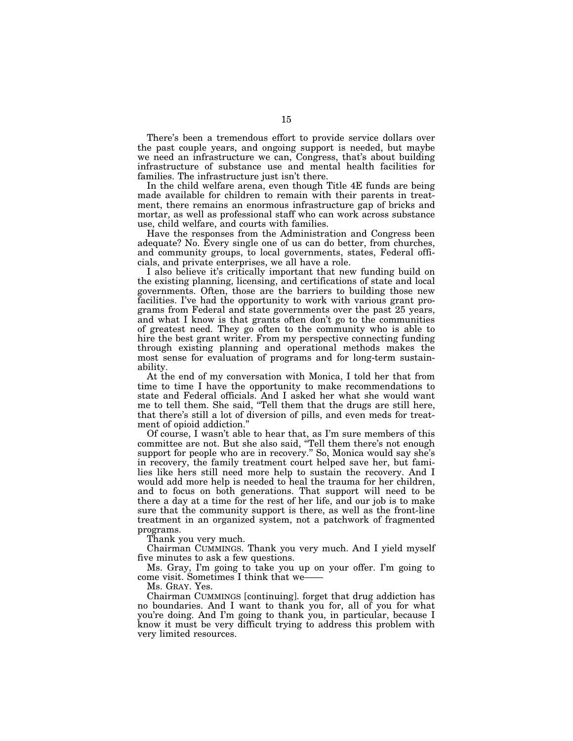There's been a tremendous effort to provide service dollars over the past couple years, and ongoing support is needed, but maybe we need an infrastructure we can, Congress, that's about building infrastructure of substance use and mental health facilities for families. The infrastructure just isn't there.

In the child welfare arena, even though Title 4E funds are being made available for children to remain with their parents in treatment, there remains an enormous infrastructure gap of bricks and mortar, as well as professional staff who can work across substance use, child welfare, and courts with families.

Have the responses from the Administration and Congress been adequate? No. Every single one of us can do better, from churches, and community groups, to local governments, states, Federal officials, and private enterprises, we all have a role.

I also believe it's critically important that new funding build on the existing planning, licensing, and certifications of state and local governments. Often, those are the barriers to building those new facilities. I've had the opportunity to work with various grant programs from Federal and state governments over the past 25 years, and what I know is that grants often don't go to the communities of greatest need. They go often to the community who is able to hire the best grant writer. From my perspective connecting funding through existing planning and operational methods makes the most sense for evaluation of programs and for long-term sustainability.

At the end of my conversation with Monica, I told her that from time to time I have the opportunity to make recommendations to state and Federal officials. And I asked her what she would want me to tell them. She said, ''Tell them that the drugs are still here, that there's still a lot of diversion of pills, and even meds for treatment of opioid addiction.''

Of course, I wasn't able to hear that, as I'm sure members of this committee are not. But she also said, ''Tell them there's not enough support for people who are in recovery.'' So, Monica would say she's in recovery, the family treatment court helped save her, but families like hers still need more help to sustain the recovery. And I would add more help is needed to heal the trauma for her children, and to focus on both generations. That support will need to be there a day at a time for the rest of her life, and our job is to make sure that the community support is there, as well as the front-line treatment in an organized system, not a patchwork of fragmented programs.

Thank you very much.

Chairman CUMMINGS. Thank you very much. And I yield myself five minutes to ask a few questions.

Ms. Gray, I'm going to take you up on your offer. I'm going to come visit. Sometimes I think that we——

Ms. GRAY. Yes.

Chairman CUMMINGS [continuing]. forget that drug addiction has no boundaries. And I want to thank you for, all of you for what you're doing. And I'm going to thank you, in particular, because I know it must be very difficult trying to address this problem with very limited resources.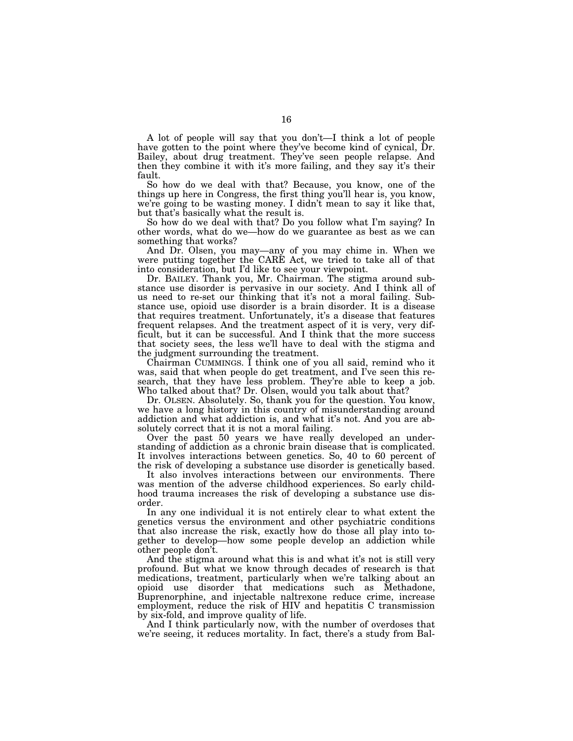A lot of people will say that you don't—I think a lot of people have gotten to the point where they've become kind of cynical, Dr. Bailey, about drug treatment. They've seen people relapse. And then they combine it with it's more failing, and they say it's their fault.

So how do we deal with that? Because, you know, one of the things up here in Congress, the first thing you'll hear is, you know, we're going to be wasting money. I didn't mean to say it like that, but that's basically what the result is.

So how do we deal with that? Do you follow what I'm saying? In other words, what do we—how do we guarantee as best as we can something that works?

And Dr. Olsen, you may—any of you may chime in. When we were putting together the CARE Act, we tried to take all of that into consideration, but I'd like to see your viewpoint.

Dr. BAILEY. Thank you, Mr. Chairman. The stigma around substance use disorder is pervasive in our society. And I think all of us need to re-set our thinking that it's not a moral failing. Substance use, opioid use disorder is a brain disorder. It is a disease that requires treatment. Unfortunately, it's a disease that features frequent relapses. And the treatment aspect of it is very, very difficult, but it can be successful. And I think that the more success that society sees, the less we'll have to deal with the stigma and the judgment surrounding the treatment.

Chairman CUMMINGS. I think one of you all said, remind who it was, said that when people do get treatment, and I've seen this research, that they have less problem. They're able to keep a job. Who talked about that? Dr. Olsen, would you talk about that?

Dr. OLSEN. Absolutely. So, thank you for the question. You know, we have a long history in this country of misunderstanding around addiction and what addiction is, and what it's not. And you are absolutely correct that it is not a moral failing.

Over the past 50 years we have really developed an understanding of addiction as a chronic brain disease that is complicated. It involves interactions between genetics. So, 40 to 60 percent of the risk of developing a substance use disorder is genetically based.

It also involves interactions between our environments. There was mention of the adverse childhood experiences. So early childhood trauma increases the risk of developing a substance use disorder.

In any one individual it is not entirely clear to what extent the genetics versus the environment and other psychiatric conditions that also increase the risk, exactly how do those all play into together to develop—how some people develop an addiction while other people don't.

And the stigma around what this is and what it's not is still very profound. But what we know through decades of research is that medications, treatment, particularly when we're talking about an opioid use disorder that medications such as Methadone, Buprenorphine, and injectable naltrexone reduce crime, increase employment, reduce the risk of HIV and hepatitis C transmission by six-fold, and improve quality of life.

And I think particularly now, with the number of overdoses that we're seeing, it reduces mortality. In fact, there's a study from Bal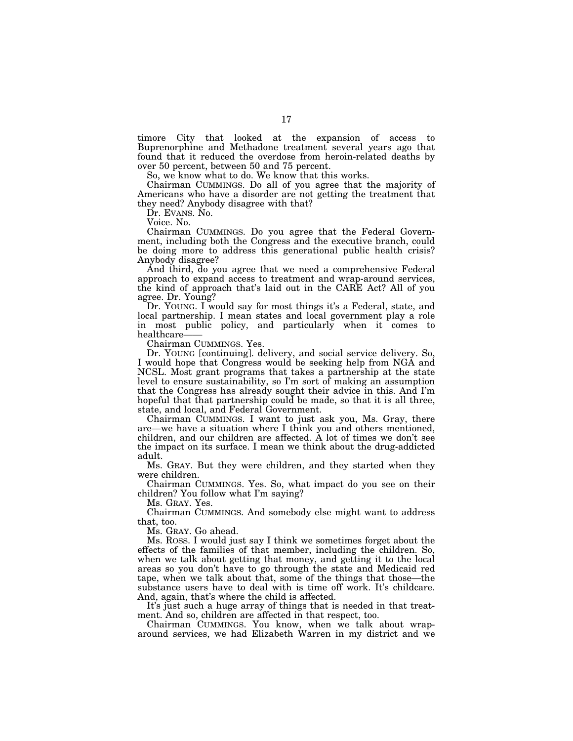timore City that looked at the expansion of access to Buprenorphine and Methadone treatment several years ago that found that it reduced the overdose from heroin-related deaths by over 50 percent, between 50 and 75 percent.

So, we know what to do. We know that this works.

Chairman CUMMINGS. Do all of you agree that the majority of Americans who have a disorder are not getting the treatment that they need? Anybody disagree with that?

Dr. Evans. No.

Voice. No.

Chairman CUMMINGS. Do you agree that the Federal Government, including both the Congress and the executive branch, could be doing more to address this generational public health crisis? Anybody disagree?

And third, do you agree that we need a comprehensive Federal approach to expand access to treatment and wrap-around services, the kind of approach that's laid out in the CARE Act? All of you agree. Dr. Young?

Dr. YOUNG. I would say for most things it's a Federal, state, and local partnership. I mean states and local government play a role in most public policy, and particularly when it comes to healthcare-

Chairman CUMMINGS. Yes.

Dr. YOUNG [continuing]. delivery, and social service delivery. So, I would hope that Congress would be seeking help from NGA and NCSL. Most grant programs that takes a partnership at the state level to ensure sustainability, so I'm sort of making an assumption that the Congress has already sought their advice in this. And I'm hopeful that that partnership could be made, so that it is all three, state, and local, and Federal Government.

Chairman CUMMINGS. I want to just ask you, Ms. Gray, there are—we have a situation where I think you and others mentioned, children, and our children are affected. A lot of times we don't see the impact on its surface. I mean we think about the drug-addicted adult.

Ms. GRAY. But they were children, and they started when they were children.

Chairman CUMMINGS. Yes. So, what impact do you see on their children? You follow what I'm saying?

Ms. GRAY. Yes.

Chairman CUMMINGS. And somebody else might want to address that, too.

Ms. GRAY. Go ahead.

Ms. ROSS. I would just say I think we sometimes forget about the effects of the families of that member, including the children. So, when we talk about getting that money, and getting it to the local areas so you don't have to go through the state and Medicaid red tape, when we talk about that, some of the things that those—the substance users have to deal with is time off work. It's childcare. And, again, that's where the child is affected.

It's just such a huge array of things that is needed in that treatment. And so, children are affected in that respect, too.

Chairman CUMMINGS. You know, when we talk about wraparound services, we had Elizabeth Warren in my district and we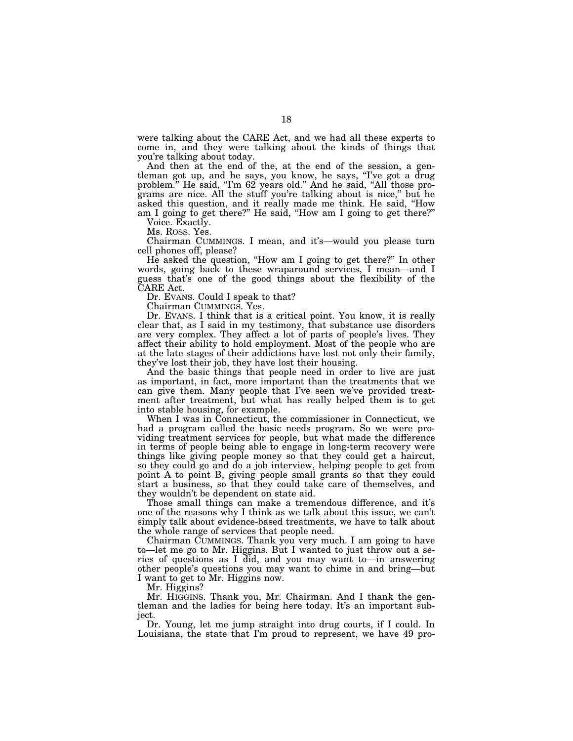were talking about the CARE Act, and we had all these experts to come in, and they were talking about the kinds of things that you're talking about today.

And then at the end of the, at the end of the session, a gentleman got up, and he says, you know, he says, "I've got a drug problem." He said, "I'm 62 years old." And he said, "All those programs are nice. All the stuff you're talking about is nice,'' but he asked this question, and it really made me think. He said, ''How am I going to get there?'' He said, ''How am I going to get there?''

Voice. Exactly. Ms. ROSS. Yes.

Chairman CUMMINGS. I mean, and it's—would you please turn cell phones off, please?

He asked the question, ''How am I going to get there?'' In other words, going back to these wraparound services, I mean—and I guess that's one of the good things about the flexibility of the CARE Act.

Dr. EVANS. Could I speak to that?

Chairman CUMMINGS. Yes.

Dr. EVANS. I think that is a critical point. You know, it is really clear that, as I said in my testimony, that substance use disorders are very complex. They affect a lot of parts of people's lives. They affect their ability to hold employment. Most of the people who are at the late stages of their addictions have lost not only their family, they've lost their job, they have lost their housing.

And the basic things that people need in order to live are just as important, in fact, more important than the treatments that we can give them. Many people that I've seen we've provided treatment after treatment, but what has really helped them is to get into stable housing, for example.

When I was in Connecticut, the commissioner in Connecticut, we had a program called the basic needs program. So we were providing treatment services for people, but what made the difference in terms of people being able to engage in long-term recovery were things like giving people money so that they could get a haircut, so they could go and do a job interview, helping people to get from point A to point B, giving people small grants so that they could start a business, so that they could take care of themselves, and they wouldn't be dependent on state aid.

Those small things can make a tremendous difference, and it's one of the reasons why I think as we talk about this issue, we can't simply talk about evidence-based treatments, we have to talk about the whole range of services that people need.

Chairman CUMMINGS. Thank you very much. I am going to have to—let me go to Mr. Higgins. But I wanted to just throw out a series of questions as I did, and you may want to—in answering other people's questions you may want to chime in and bring—but I want to get to Mr. Higgins now.

Mr. Higgins?

Mr. HIGGINS. Thank you, Mr. Chairman. And I thank the gentleman and the ladies for being here today. It's an important subject.

Dr. Young, let me jump straight into drug courts, if I could. In Louisiana, the state that I'm proud to represent, we have 49 pro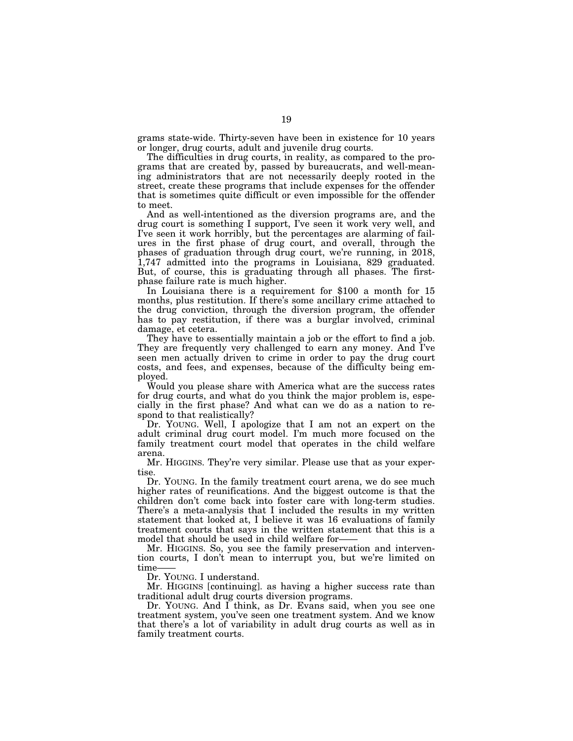grams state-wide. Thirty-seven have been in existence for 10 years or longer, drug courts, adult and juvenile drug courts.

The difficulties in drug courts, in reality, as compared to the programs that are created by, passed by bureaucrats, and well-meaning administrators that are not necessarily deeply rooted in the street, create these programs that include expenses for the offender that is sometimes quite difficult or even impossible for the offender to meet.

And as well-intentioned as the diversion programs are, and the drug court is something I support, I've seen it work very well, and I've seen it work horribly, but the percentages are alarming of failures in the first phase of drug court, and overall, through the phases of graduation through drug court, we're running, in 2018, 1,747 admitted into the programs in Louisiana, 829 graduated. But, of course, this is graduating through all phases. The firstphase failure rate is much higher.

In Louisiana there is a requirement for \$100 a month for 15 months, plus restitution. If there's some ancillary crime attached to the drug conviction, through the diversion program, the offender has to pay restitution, if there was a burglar involved, criminal damage, et cetera.

They have to essentially maintain a job or the effort to find a job. They are frequently very challenged to earn any money. And I've seen men actually driven to crime in order to pay the drug court costs, and fees, and expenses, because of the difficulty being employed.

Would you please share with America what are the success rates for drug courts, and what do you think the major problem is, especially in the first phase? And what can we do as a nation to respond to that realistically?

Dr. YOUNG. Well, I apologize that I am not an expert on the adult criminal drug court model. I'm much more focused on the family treatment court model that operates in the child welfare arena.

Mr. HIGGINS. They're very similar. Please use that as your expertise.

Dr. YOUNG. In the family treatment court arena, we do see much higher rates of reunifications. And the biggest outcome is that the children don't come back into foster care with long-term studies. There's a meta-analysis that I included the results in my written statement that looked at, I believe it was 16 evaluations of family treatment courts that says in the written statement that this is a model that should be used in child welfare for——

Mr. HIGGINS. So, you see the family preservation and intervention courts, I don't mean to interrupt you, but we're limited on time-

Dr. YOUNG. I understand.

Mr. HIGGINS [continuing]. as having a higher success rate than traditional adult drug courts diversion programs.

Dr. YOUNG. And I think, as Dr. Evans said, when you see one treatment system, you've seen one treatment system. And we know that there's a lot of variability in adult drug courts as well as in family treatment courts.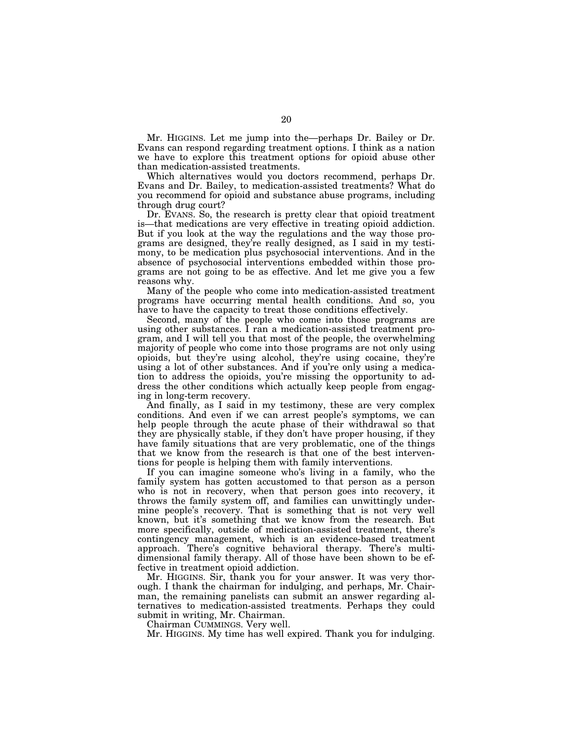Mr. HIGGINS. Let me jump into the—perhaps Dr. Bailey or Dr. Evans can respond regarding treatment options. I think as a nation we have to explore this treatment options for opioid abuse other than medication-assisted treatments.

Which alternatives would you doctors recommend, perhaps Dr. Evans and Dr. Bailey, to medication-assisted treatments? What do you recommend for opioid and substance abuse programs, including through drug court?

Dr. EVANS. So, the research is pretty clear that opioid treatment is—that medications are very effective in treating opioid addiction. But if you look at the way the regulations and the way those programs are designed, they're really designed, as I said in my testimony, to be medication plus psychosocial interventions. And in the absence of psychosocial interventions embedded within those programs are not going to be as effective. And let me give you a few reasons why.

Many of the people who come into medication-assisted treatment programs have occurring mental health conditions. And so, you have to have the capacity to treat those conditions effectively.

Second, many of the people who come into those programs are using other substances. I ran a medication-assisted treatment program, and I will tell you that most of the people, the overwhelming majority of people who come into those programs are not only using opioids, but they're using alcohol, they're using cocaine, they're using a lot of other substances. And if you're only using a medication to address the opioids, you're missing the opportunity to address the other conditions which actually keep people from engaging in long-term recovery.

And finally, as I said in my testimony, these are very complex conditions. And even if we can arrest people's symptoms, we can help people through the acute phase of their withdrawal so that they are physically stable, if they don't have proper housing, if they have family situations that are very problematic, one of the things that we know from the research is that one of the best interventions for people is helping them with family interventions.

If you can imagine someone who's living in a family, who the family system has gotten accustomed to that person as a person who is not in recovery, when that person goes into recovery, it throws the family system off, and families can unwittingly undermine people's recovery. That is something that is not very well known, but it's something that we know from the research. But more specifically, outside of medication-assisted treatment, there's contingency management, which is an evidence-based treatment approach. There's cognitive behavioral therapy. There's multidimensional family therapy. All of those have been shown to be effective in treatment opioid addiction.

Mr. HIGGINS. Sir, thank you for your answer. It was very thorough. I thank the chairman for indulging, and perhaps, Mr. Chairman, the remaining panelists can submit an answer regarding alternatives to medication-assisted treatments. Perhaps they could submit in writing, Mr. Chairman.

Chairman CUMMINGS. Very well.

Mr. HIGGINS. My time has well expired. Thank you for indulging.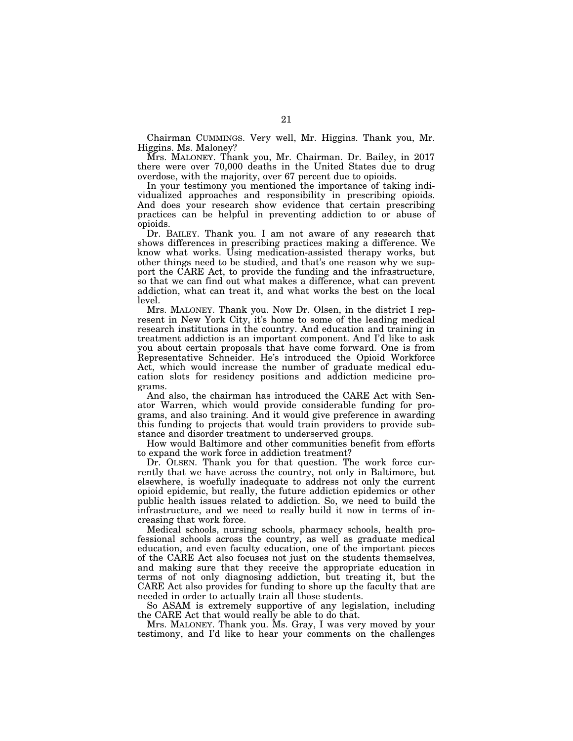Chairman CUMMINGS. Very well, Mr. Higgins. Thank you, Mr. Higgins. Ms. Maloney?

Mrs. MALONEY. Thank you, Mr. Chairman. Dr. Bailey, in 2017 there were over 70,000 deaths in the United States due to drug overdose, with the majority, over 67 percent due to opioids.

In your testimony you mentioned the importance of taking individualized approaches and responsibility in prescribing opioids. And does your research show evidence that certain prescribing practices can be helpful in preventing addiction to or abuse of opioids.

Dr. BAILEY. Thank you. I am not aware of any research that shows differences in prescribing practices making a difference. We know what works. Using medication-assisted therapy works, but other things need to be studied, and that's one reason why we support the CARE Act, to provide the funding and the infrastructure, so that we can find out what makes a difference, what can prevent addiction, what can treat it, and what works the best on the local level.

Mrs. MALONEY. Thank you. Now Dr. Olsen, in the district I represent in New York City, it's home to some of the leading medical research institutions in the country. And education and training in treatment addiction is an important component. And I'd like to ask you about certain proposals that have come forward. One is from Representative Schneider. He's introduced the Opioid Workforce Act, which would increase the number of graduate medical education slots for residency positions and addiction medicine programs.

And also, the chairman has introduced the CARE Act with Senator Warren, which would provide considerable funding for programs, and also training. And it would give preference in awarding this funding to projects that would train providers to provide substance and disorder treatment to underserved groups.

How would Baltimore and other communities benefit from efforts to expand the work force in addiction treatment?

Dr. OLSEN. Thank you for that question. The work force currently that we have across the country, not only in Baltimore, but elsewhere, is woefully inadequate to address not only the current opioid epidemic, but really, the future addiction epidemics or other public health issues related to addiction. So, we need to build the infrastructure, and we need to really build it now in terms of increasing that work force.

Medical schools, nursing schools, pharmacy schools, health professional schools across the country, as well as graduate medical education, and even faculty education, one of the important pieces of the CARE Act also focuses not just on the students themselves, and making sure that they receive the appropriate education in terms of not only diagnosing addiction, but treating it, but the CARE Act also provides for funding to shore up the faculty that are needed in order to actually train all those students.

So ASAM is extremely supportive of any legislation, including the CARE Act that would really be able to do that.

Mrs. MALONEY. Thank you. Ms. Gray, I was very moved by your testimony, and I'd like to hear your comments on the challenges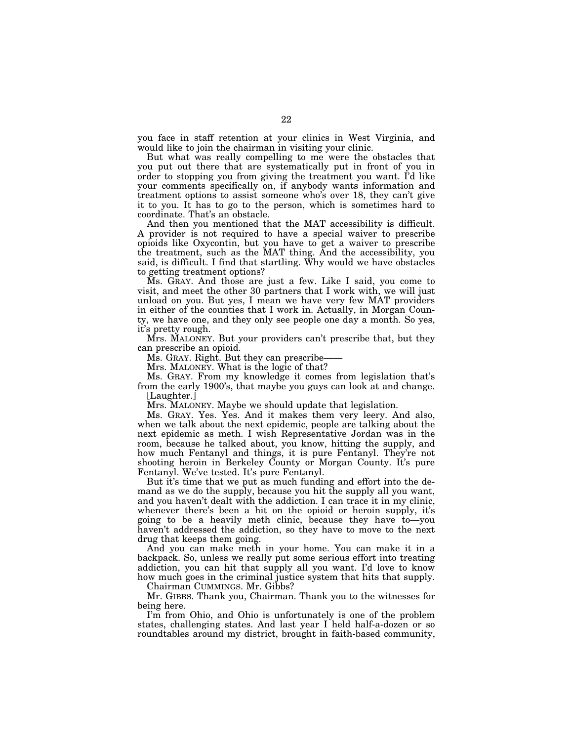you face in staff retention at your clinics in West Virginia, and would like to join the chairman in visiting your clinic.

But what was really compelling to me were the obstacles that you put out there that are systematically put in front of you in order to stopping you from giving the treatment you want. I'd like your comments specifically on, if anybody wants information and treatment options to assist someone who's over 18, they can't give it to you. It has to go to the person, which is sometimes hard to coordinate. That's an obstacle.

And then you mentioned that the MAT accessibility is difficult. A provider is not required to have a special waiver to prescribe opioids like Oxycontin, but you have to get a waiver to prescribe the treatment, such as the MAT thing. And the accessibility, you said, is difficult. I find that startling. Why would we have obstacles to getting treatment options?

Ms. GRAY. And those are just a few. Like I said, you come to visit, and meet the other 30 partners that I work with, we will just unload on you. But yes, I mean we have very few MAT providers in either of the counties that I work in. Actually, in Morgan County, we have one, and they only see people one day a month. So yes, it's pretty rough.

Mrs. MALONEY. But your providers can't prescribe that, but they can prescribe an opioid.

Ms. GRAY. Right. But they can prescribe-

Mrs. MALONEY. What is the logic of that?

Ms. GRAY. From my knowledge it comes from legislation that's from the early 1900's, that maybe you guys can look at and change. [Laughter.]

Mrs. MALONEY. Maybe we should update that legislation.

Ms. GRAY. Yes. Yes. And it makes them very leery. And also, when we talk about the next epidemic, people are talking about the next epidemic as meth. I wish Representative Jordan was in the room, because he talked about, you know, hitting the supply, and how much Fentanyl and things, it is pure Fentanyl. They're not shooting heroin in Berkeley County or Morgan County. It's pure Fentanyl. We've tested. It's pure Fentanyl.

But it's time that we put as much funding and effort into the demand as we do the supply, because you hit the supply all you want, and you haven't dealt with the addiction. I can trace it in my clinic, whenever there's been a hit on the opioid or heroin supply, it's going to be a heavily meth clinic, because they have to—you haven't addressed the addiction, so they have to move to the next drug that keeps them going.

And you can make meth in your home. You can make it in a backpack. So, unless we really put some serious effort into treating addiction, you can hit that supply all you want. I'd love to know how much goes in the criminal justice system that hits that supply.

Chairman CUMMINGS. Mr. Gibbs?

Mr. GIBBS. Thank you, Chairman. Thank you to the witnesses for being here.

I'm from Ohio, and Ohio is unfortunately is one of the problem states, challenging states. And last year I held half-a-dozen or so roundtables around my district, brought in faith-based community,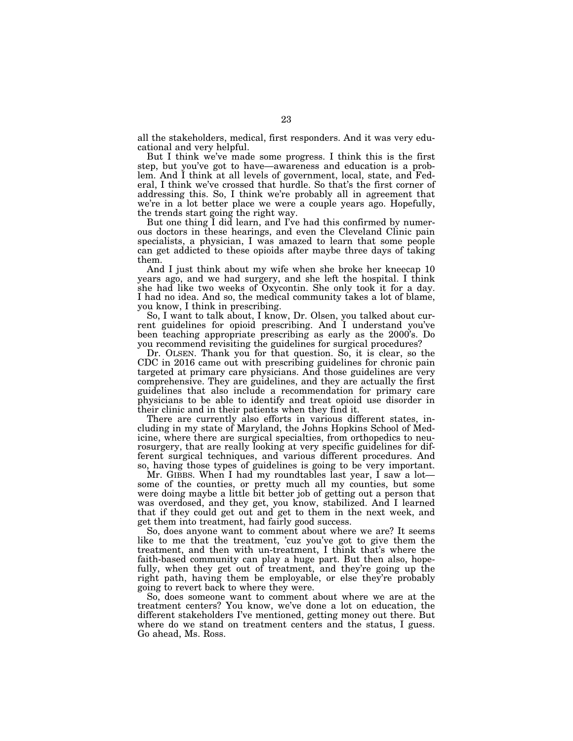all the stakeholders, medical, first responders. And it was very educational and very helpful.

But I think we've made some progress. I think this is the first step, but you've got to have—awareness and education is a problem. And I think at all levels of government, local, state, and Federal, I think we've crossed that hurdle. So that's the first corner of addressing this. So, I think we're probably all in agreement that we're in a lot better place we were a couple years ago. Hopefully, the trends start going the right way.

But one thing I did learn, and I've had this confirmed by numerous doctors in these hearings, and even the Cleveland Clinic pain specialists, a physician, I was amazed to learn that some people can get addicted to these opioids after maybe three days of taking them.

And I just think about my wife when she broke her kneecap 10 years ago, and we had surgery, and she left the hospital. I think she had like two weeks of Oxycontin. She only took it for a day. I had no idea. And so, the medical community takes a lot of blame, you know, I think in prescribing.

So, I want to talk about, I know, Dr. Olsen, you talked about current guidelines for opioid prescribing. And I understand you've been teaching appropriate prescribing as early as the 2000's. Do you recommend revisiting the guidelines for surgical procedures?

Dr. OLSEN. Thank you for that question. So, it is clear, so the CDC in 2016 came out with prescribing guidelines for chronic pain targeted at primary care physicians. And those guidelines are very comprehensive. They are guidelines, and they are actually the first guidelines that also include a recommendation for primary care physicians to be able to identify and treat opioid use disorder in their clinic and in their patients when they find it.

There are currently also efforts in various different states, including in my state of Maryland, the Johns Hopkins School of Medicine, where there are surgical specialties, from orthopedics to neurosurgery, that are really looking at very specific guidelines for different surgical techniques, and various different procedures. And so, having those types of guidelines is going to be very important.

Mr. GIBBS. When I had my roundtables last year, I saw a lot some of the counties, or pretty much all my counties, but some were doing maybe a little bit better job of getting out a person that was overdosed, and they get, you know, stabilized. And I learned that if they could get out and get to them in the next week, and get them into treatment, had fairly good success.

So, does anyone want to comment about where we are? It seems like to me that the treatment, 'cuz you've got to give them the treatment, and then with un-treatment, I think that's where the faith-based community can play a huge part. But then also, hopefully, when they get out of treatment, and they're going up the right path, having them be employable, or else they're probably going to revert back to where they were.

So, does someone want to comment about where we are at the treatment centers? You know, we've done a lot on education, the different stakeholders I've mentioned, getting money out there. But where do we stand on treatment centers and the status, I guess. Go ahead, Ms. Ross.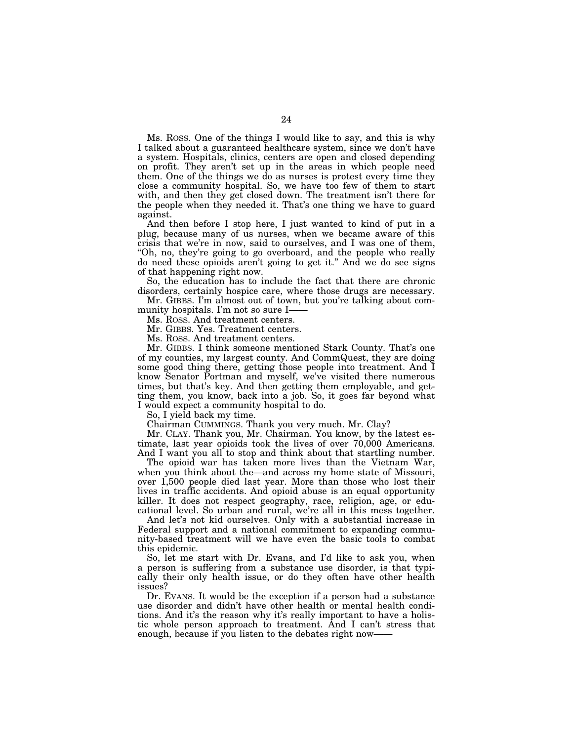Ms. ROSS. One of the things I would like to say, and this is why I talked about a guaranteed healthcare system, since we don't have a system. Hospitals, clinics, centers are open and closed depending on profit. They aren't set up in the areas in which people need them. One of the things we do as nurses is protest every time they close a community hospital. So, we have too few of them to start with, and then they get closed down. The treatment isn't there for the people when they needed it. That's one thing we have to guard against.

And then before I stop here, I just wanted to kind of put in a plug, because many of us nurses, when we became aware of this crisis that we're in now, said to ourselves, and I was one of them, ''Oh, no, they're going to go overboard, and the people who really do need these opioids aren't going to get it.'' And we do see signs of that happening right now.

So, the education has to include the fact that there are chronic disorders, certainly hospice care, where those drugs are necessary.

Mr. GIBBS. I'm almost out of town, but you're talking about community hospitals. I'm not so sure I-

Ms. ROSS. And treatment centers.

Mr. GIBBS. Yes. Treatment centers.

Ms. ROSS. And treatment centers.

Mr. GIBBS. I think someone mentioned Stark County. That's one of my counties, my largest county. And CommQuest, they are doing some good thing there, getting those people into treatment. And I know Senator Portman and myself, we've visited there numerous times, but that's key. And then getting them employable, and getting them, you know, back into a job. So, it goes far beyond what I would expect a community hospital to do.

So, I yield back my time.

Chairman CUMMINGS. Thank you very much. Mr. Clay?

Mr. CLAY. Thank you, Mr. Chairman. You know, by the latest estimate, last year opioids took the lives of over 70,000 Americans. And I want you all to stop and think about that startling number.

The opioid war has taken more lives than the Vietnam War, when you think about the—and across my home state of Missouri, over 1,500 people died last year. More than those who lost their lives in traffic accidents. And opioid abuse is an equal opportunity killer. It does not respect geography, race, religion, age, or educational level. So urban and rural, we're all in this mess together.

And let's not kid ourselves. Only with a substantial increase in Federal support and a national commitment to expanding community-based treatment will we have even the basic tools to combat this epidemic.

So, let me start with Dr. Evans, and I'd like to ask you, when a person is suffering from a substance use disorder, is that typically their only health issue, or do they often have other health issues?

Dr. EVANS. It would be the exception if a person had a substance use disorder and didn't have other health or mental health conditions. And it's the reason why it's really important to have a holistic whole person approach to treatment. And I can't stress that enough, because if you listen to the debates right now-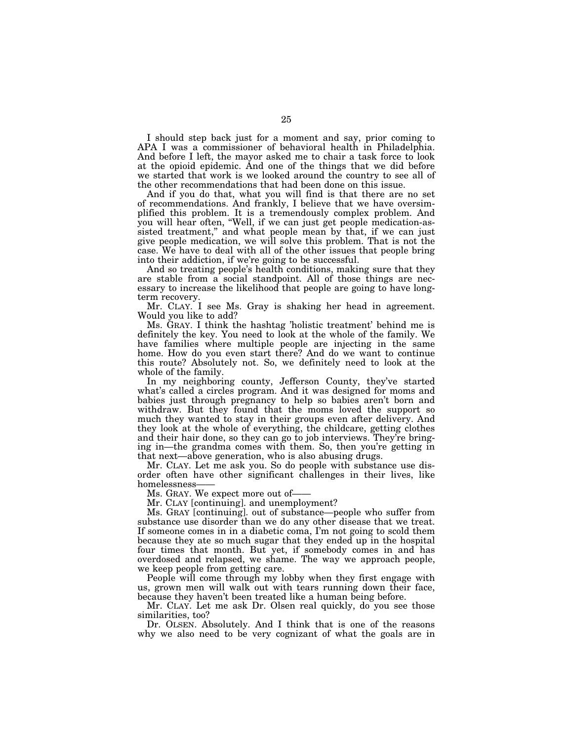I should step back just for a moment and say, prior coming to APA I was a commissioner of behavioral health in Philadelphia. And before I left, the mayor asked me to chair a task force to look at the opioid epidemic. And one of the things that we did before we started that work is we looked around the country to see all of the other recommendations that had been done on this issue.

And if you do that, what you will find is that there are no set of recommendations. And frankly, I believe that we have oversimplified this problem. It is a tremendously complex problem. And you will hear often, ''Well, if we can just get people medication-assisted treatment,'' and what people mean by that, if we can just give people medication, we will solve this problem. That is not the case. We have to deal with all of the other issues that people bring into their addiction, if we're going to be successful.

And so treating people's health conditions, making sure that they are stable from a social standpoint. All of those things are necessary to increase the likelihood that people are going to have longterm recovery.

Mr. CLAY. I see Ms. Gray is shaking her head in agreement. Would you like to add?

Ms. GRAY. I think the hashtag 'holistic treatment' behind me is definitely the key. You need to look at the whole of the family. We have families where multiple people are injecting in the same home. How do you even start there? And do we want to continue this route? Absolutely not. So, we definitely need to look at the whole of the family.

In my neighboring county, Jefferson County, they've started what's called a circles program. And it was designed for moms and babies just through pregnancy to help so babies aren't born and withdraw. But they found that the moms loved the support so much they wanted to stay in their groups even after delivery. And they look at the whole of everything, the childcare, getting clothes and their hair done, so they can go to job interviews. They're bringing in—the grandma comes with them. So, then you're getting in that next—above generation, who is also abusing drugs.

Mr. CLAY. Let me ask you. So do people with substance use disorder often have other significant challenges in their lives, like homelessness-

Ms. GRAY. We expect more out of-

Mr. CLAY [continuing]. and unemployment?

Ms. GRAY [continuing]. out of substance—people who suffer from substance use disorder than we do any other disease that we treat. If someone comes in in a diabetic coma, I'm not going to scold them because they ate so much sugar that they ended up in the hospital four times that month. But yet, if somebody comes in and has overdosed and relapsed, we shame. The way we approach people, we keep people from getting care.

People will come through my lobby when they first engage with us, grown men will walk out with tears running down their face, because they haven't been treated like a human being before.

Mr. CLAY. Let me ask Dr. Olsen real quickly, do you see those similarities, too?

Dr. OLSEN. Absolutely. And I think that is one of the reasons why we also need to be very cognizant of what the goals are in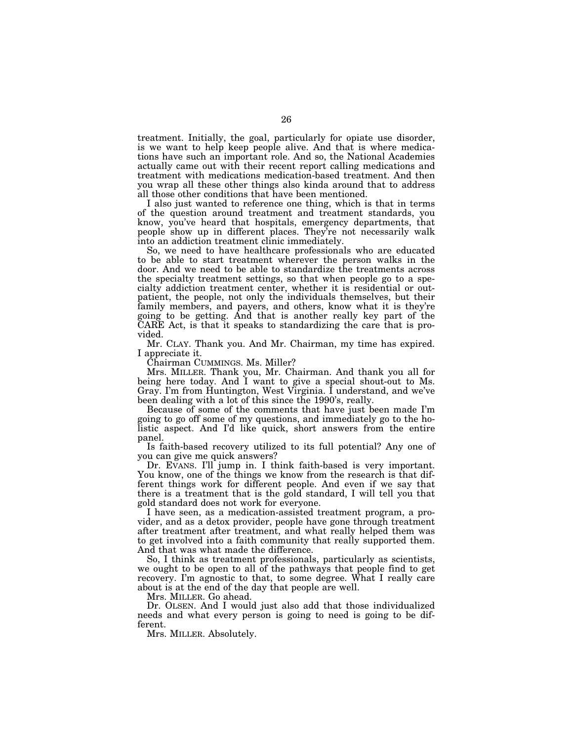treatment. Initially, the goal, particularly for opiate use disorder, is we want to help keep people alive. And that is where medications have such an important role. And so, the National Academies actually came out with their recent report calling medications and treatment with medications medication-based treatment. And then you wrap all these other things also kinda around that to address all those other conditions that have been mentioned.

I also just wanted to reference one thing, which is that in terms of the question around treatment and treatment standards, you know, you've heard that hospitals, emergency departments, that people show up in different places. They're not necessarily walk into an addiction treatment clinic immediately.

So, we need to have healthcare professionals who are educated to be able to start treatment wherever the person walks in the door. And we need to be able to standardize the treatments across the specialty treatment settings, so that when people go to a specialty addiction treatment center, whether it is residential or outpatient, the people, not only the individuals themselves, but their family members, and payers, and others, know what it is they're going to be getting. And that is another really key part of the CARE Act, is that it speaks to standardizing the care that is provided.

Mr. CLAY. Thank you. And Mr. Chairman, my time has expired. I appreciate it.

Chairman CUMMINGS. Ms. Miller?

Mrs. MILLER. Thank you, Mr. Chairman. And thank you all for being here today. And I want to give a special shout-out to Ms. Gray. I'm from Huntington, West Virginia. I understand, and we've been dealing with a lot of this since the 1990's, really.

Because of some of the comments that have just been made I'm going to go off some of my questions, and immediately go to the holistic aspect. And I'd like quick, short answers from the entire panel.

Is faith-based recovery utilized to its full potential? Any one of you can give me quick answers?

Dr. EVANS. I'll jump in. I think faith-based is very important. You know, one of the things we know from the research is that different things work for different people. And even if we say that there is a treatment that is the gold standard, I will tell you that gold standard does not work for everyone.

I have seen, as a medication-assisted treatment program, a provider, and as a detox provider, people have gone through treatment after treatment after treatment, and what really helped them was to get involved into a faith community that really supported them. And that was what made the difference.

So, I think as treatment professionals, particularly as scientists, we ought to be open to all of the pathways that people find to get recovery. I'm agnostic to that, to some degree. What I really care about is at the end of the day that people are well.

Mrs. MILLER. Go ahead.

Dr. OLSEN. And I would just also add that those individualized needs and what every person is going to need is going to be different.

Mrs. MILLER. Absolutely.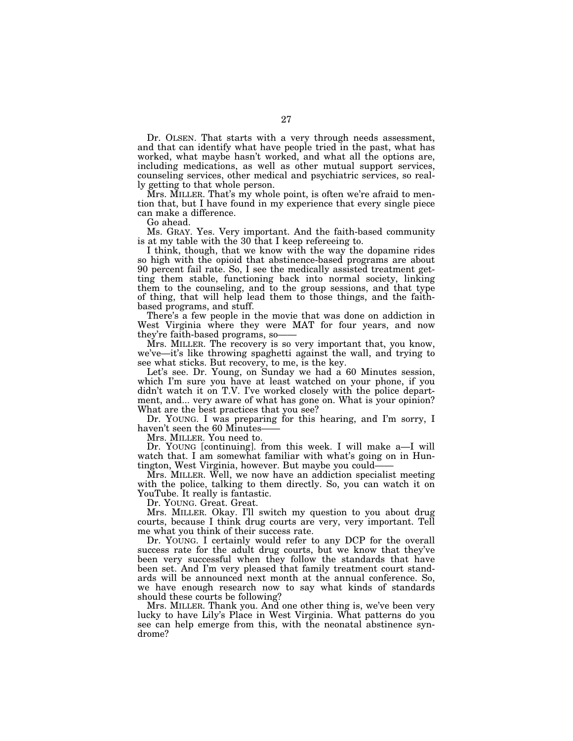Dr. OLSEN. That starts with a very through needs assessment, and that can identify what have people tried in the past, what has worked, what maybe hasn't worked, and what all the options are, including medications, as well as other mutual support services, counseling services, other medical and psychiatric services, so really getting to that whole person.

Mrs. MILLER. That's my whole point, is often we're afraid to mention that, but I have found in my experience that every single piece can make a difference.

Go ahead.

Ms. GRAY. Yes. Very important. And the faith-based community is at my table with the 30 that I keep refereeing to.

I think, though, that we know with the way the dopamine rides so high with the opioid that abstinence-based programs are about 90 percent fail rate. So, I see the medically assisted treatment getting them stable, functioning back into normal society, linking them to the counseling, and to the group sessions, and that type of thing, that will help lead them to those things, and the faithbased programs, and stuff.

There's a few people in the movie that was done on addiction in West Virginia where they were MAT for four years, and now they're faith-based programs, so——

Mrs. MILLER. The recovery is so very important that, you know, we've—it's like throwing spaghetti against the wall, and trying to see what sticks. But recovery, to me, is the key.

Let's see. Dr. Young, on Sunday we had a 60 Minutes session, which I'm sure you have at least watched on your phone, if you didn't watch it on T.V. I've worked closely with the police department, and... very aware of what has gone on. What is your opinion? What are the best practices that you see?

Dr. YOUNG. I was preparing for this hearing, and I'm sorry, I haven't seen the 60 Minutes-

Mrs. MILLER. You need to.

Dr. YOUNG [continuing]. from this week. I will make a—I will watch that. I am somewhat familiar with what's going on in Huntington, West Virginia, however. But maybe you could——

Mrs. MILLER. Well, we now have an addiction specialist meeting with the police, talking to them directly. So, you can watch it on YouTube. It really is fantastic.

Dr. YOUNG. Great. Great.

Mrs. MILLER. Okay. I'll switch my question to you about drug courts, because I think drug courts are very, very important. Tell me what you think of their success rate.

Dr. YOUNG. I certainly would refer to any DCP for the overall success rate for the adult drug courts, but we know that they've been very successful when they follow the standards that have been set. And I'm very pleased that family treatment court standards will be announced next month at the annual conference. So, we have enough research now to say what kinds of standards should these courts be following?

Mrs. MILLER. Thank you. And one other thing is, we've been very lucky to have Lily's Place in West Virginia. What patterns do you see can help emerge from this, with the neonatal abstinence syndrome?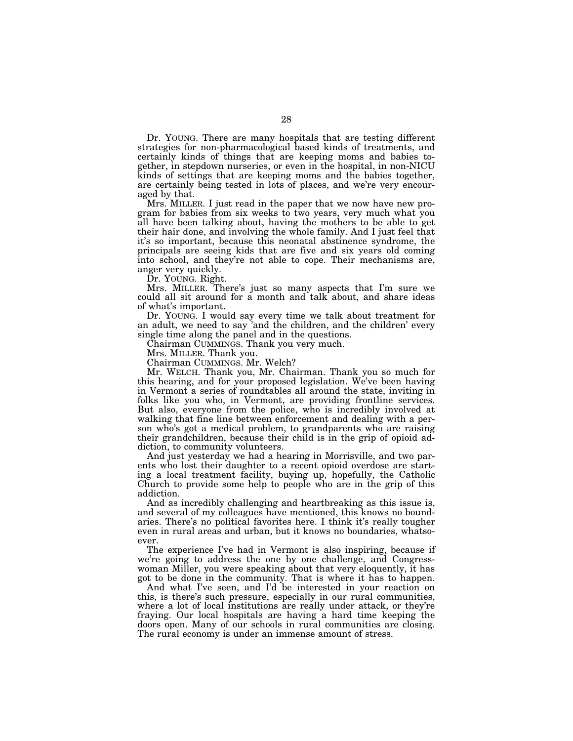Dr. YOUNG. There are many hospitals that are testing different strategies for non-pharmacological based kinds of treatments, and certainly kinds of things that are keeping moms and babies together, in stepdown nurseries, or even in the hospital, in non-NICU kinds of settings that are keeping moms and the babies together, are certainly being tested in lots of places, and we're very encouraged by that.

Mrs. MILLER. I just read in the paper that we now have new program for babies from six weeks to two years, very much what you all have been talking about, having the mothers to be able to get their hair done, and involving the whole family. And I just feel that it's so important, because this neonatal abstinence syndrome, the principals are seeing kids that are five and six years old coming into school, and they're not able to cope. Their mechanisms are, anger very quickly.

Dr. YOUNG. Right.

Mrs. MILLER. There's just so many aspects that I'm sure we could all sit around for a month and talk about, and share ideas of what's important.

Dr. YOUNG. I would say every time we talk about treatment for an adult, we need to say 'and the children, and the children' every single time along the panel and in the questions.

Chairman CUMMINGS. Thank you very much.

Mrs. MILLER. Thank you.

Chairman CUMMINGS. Mr. Welch?

Mr. WELCH. Thank you, Mr. Chairman. Thank you so much for this hearing, and for your proposed legislation. We've been having in Vermont a series of roundtables all around the state, inviting in folks like you who, in Vermont, are providing frontline services. But also, everyone from the police, who is incredibly involved at walking that fine line between enforcement and dealing with a person who's got a medical problem, to grandparents who are raising their grandchildren, because their child is in the grip of opioid addiction, to community volunteers.

And just yesterday we had a hearing in Morrisville, and two parents who lost their daughter to a recent opioid overdose are starting a local treatment facility, buying up, hopefully, the Catholic Church to provide some help to people who are in the grip of this addiction.

And as incredibly challenging and heartbreaking as this issue is, and several of my colleagues have mentioned, this knows no boundaries. There's no political favorites here. I think it's really tougher even in rural areas and urban, but it knows no boundaries, whatsoever.

The experience I've had in Vermont is also inspiring, because if we're going to address the one by one challenge, and Congresswoman Miller, you were speaking about that very eloquently, it has got to be done in the community. That is where it has to happen.

And what I've seen, and I'd be interested in your reaction on this, is there's such pressure, especially in our rural communities, where a lot of local institutions are really under attack, or they're fraying. Our local hospitals are having a hard time keeping the doors open. Many of our schools in rural communities are closing. The rural economy is under an immense amount of stress.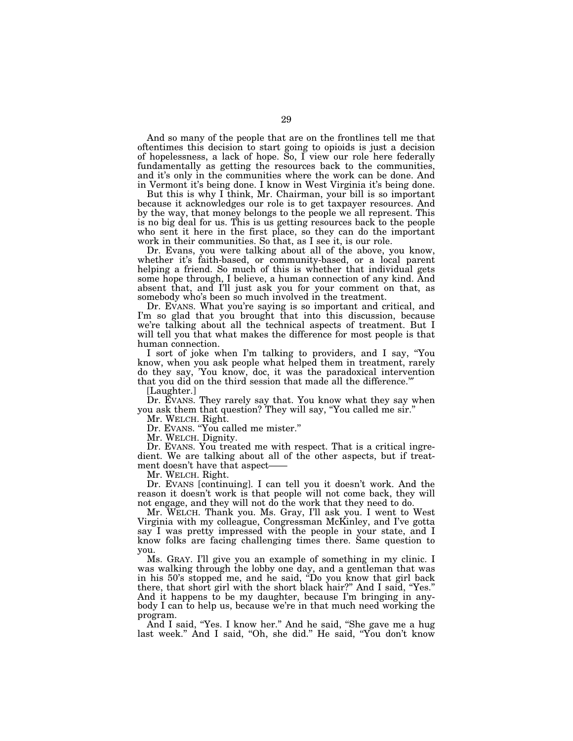And so many of the people that are on the frontlines tell me that oftentimes this decision to start going to opioids is just a decision of hopelessness, a lack of hope. So, I view our role here federally fundamentally as getting the resources back to the communities, and it's only in the communities where the work can be done. And in Vermont it's being done. I know in West Virginia it's being done.

But this is why I think, Mr. Chairman, your bill is so important because it acknowledges our role is to get taxpayer resources. And by the way, that money belongs to the people we all represent. This is no big deal for us. This is us getting resources back to the people who sent it here in the first place, so they can do the important work in their communities. So that, as I see it, is our role.

Dr. Evans, you were talking about all of the above, you know, whether it's faith-based, or community-based, or a local parent helping a friend. So much of this is whether that individual gets some hope through, I believe, a human connection of any kind. And absent that, and I'll just ask you for your comment on that, as somebody who's been so much involved in the treatment.

Dr. EVANS. What you're saying is so important and critical, and I'm so glad that you brought that into this discussion, because we're talking about all the technical aspects of treatment. But I will tell you that what makes the difference for most people is that human connection.

I sort of joke when I'm talking to providers, and I say, ''You know, when you ask people what helped them in treatment, rarely do they say, 'You know, doc, it was the paradoxical intervention that you did on the third session that made all the difference.'″

[Laughter.]

Dr. EVANS. They rarely say that. You know what they say when you ask them that question? They will say, ''You called me sir.''

Mr. WELCH. Right.

Dr. EVANS. ''You called me mister.''

Mr. WELCH. Dignity.

Dr. EVANS. You treated me with respect. That is a critical ingredient. We are talking about all of the other aspects, but if treatment doesn't have that aspect-

Mr. WELCH. Right.

Dr. EVANS [continuing]. I can tell you it doesn't work. And the reason it doesn't work is that people will not come back, they will not engage, and they will not do the work that they need to do.

Mr. WELCH. Thank you. Ms. Gray, I'll ask you. I went to West Virginia with my colleague, Congressman McKinley, and I've gotta say I was pretty impressed with the people in your state, and I know folks are facing challenging times there. Same question to you.

Ms. GRAY. I'll give you an example of something in my clinic. I was walking through the lobby one day, and a gentleman that was in his 50's stopped me, and he said, ''Do you know that girl back there, that short girl with the short black hair?'' And I said, ''Yes.'' And it happens to be my daughter, because I'm bringing in anybody I can to help us, because we're in that much need working the program.

And I said, ''Yes. I know her.'' And he said, ''She gave me a hug last week." And I said, "Oh, she did." He said, "You don't know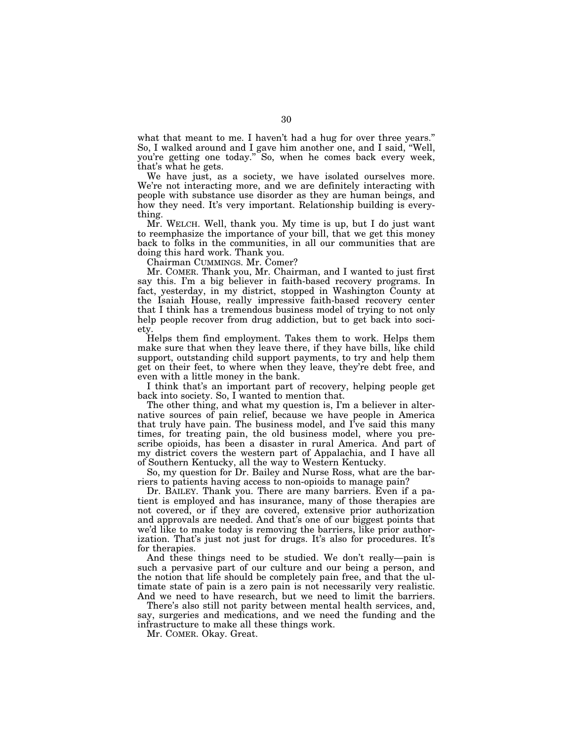what that meant to me. I haven't had a hug for over three years." So, I walked around and I gave him another one, and I said, ''Well, you're getting one today.'' So, when he comes back every week, that's what he gets.

We have just, as a society, we have isolated ourselves more. We're not interacting more, and we are definitely interacting with people with substance use disorder as they are human beings, and how they need. It's very important. Relationship building is everything.

Mr. WELCH. Well, thank you. My time is up, but I do just want to reemphasize the importance of your bill, that we get this money back to folks in the communities, in all our communities that are doing this hard work. Thank you.

Chairman CUMMINGS. Mr. Comer?

Mr. COMER. Thank you, Mr. Chairman, and I wanted to just first say this. I'm a big believer in faith-based recovery programs. In fact, yesterday, in my district, stopped in Washington County at the Isaiah House, really impressive faith-based recovery center that I think has a tremendous business model of trying to not only help people recover from drug addiction, but to get back into society.

Helps them find employment. Takes them to work. Helps them make sure that when they leave there, if they have bills, like child support, outstanding child support payments, to try and help them get on their feet, to where when they leave, they're debt free, and even with a little money in the bank.

I think that's an important part of recovery, helping people get back into society. So, I wanted to mention that.

The other thing, and what my question is, I'm a believer in alternative sources of pain relief, because we have people in America that truly have pain. The business model, and I've said this many times, for treating pain, the old business model, where you prescribe opioids, has been a disaster in rural America. And part of my district covers the western part of Appalachia, and I have all of Southern Kentucky, all the way to Western Kentucky.

So, my question for Dr. Bailey and Nurse Ross, what are the barriers to patients having access to non-opioids to manage pain?

Dr. BAILEY. Thank you. There are many barriers. Even if a patient is employed and has insurance, many of those therapies are not covered, or if they are covered, extensive prior authorization and approvals are needed. And that's one of our biggest points that we'd like to make today is removing the barriers, like prior authorization. That's just not just for drugs. It's also for procedures. It's for therapies.

And these things need to be studied. We don't really—pain is such a pervasive part of our culture and our being a person, and the notion that life should be completely pain free, and that the ultimate state of pain is a zero pain is not necessarily very realistic. And we need to have research, but we need to limit the barriers.

There's also still not parity between mental health services, and, say, surgeries and medications, and we need the funding and the infrastructure to make all these things work.

Mr. COMER. Okay. Great.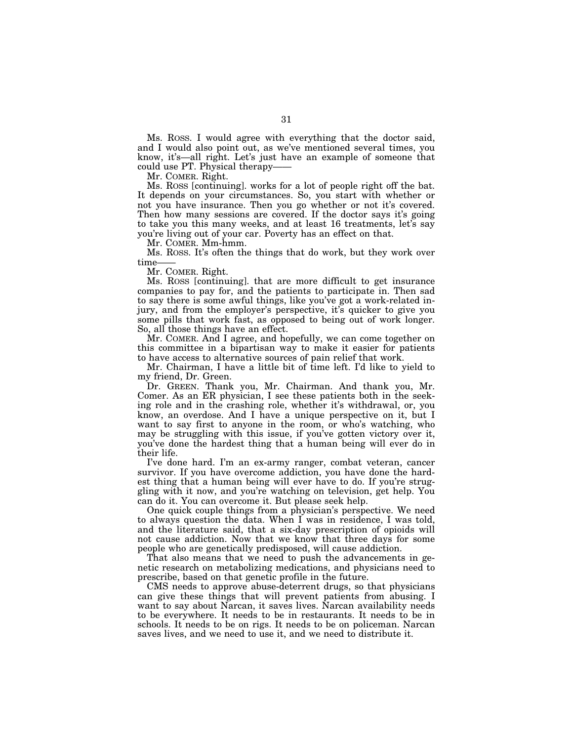Ms. ROSS. I would agree with everything that the doctor said, and I would also point out, as we've mentioned several times, you know, it's—all right. Let's just have an example of someone that could use PT. Physical therapy-

Mr. COMER. Right.

Ms. ROSS [continuing]. works for a lot of people right off the bat. It depends on your circumstances. So, you start with whether or not you have insurance. Then you go whether or not it's covered. Then how many sessions are covered. If the doctor says it's going to take you this many weeks, and at least 16 treatments, let's say you're living out of your car. Poverty has an effect on that.

Mr. COMER. Mm-hmm.

Ms. ROSS. It's often the things that do work, but they work over time-

Mr. COMER. Right.

Ms. ROSS [continuing]. that are more difficult to get insurance companies to pay for, and the patients to participate in. Then sad to say there is some awful things, like you've got a work-related injury, and from the employer's perspective, it's quicker to give you some pills that work fast, as opposed to being out of work longer. So, all those things have an effect.

Mr. COMER. And I agree, and hopefully, we can come together on this committee in a bipartisan way to make it easier for patients to have access to alternative sources of pain relief that work.

Mr. Chairman, I have a little bit of time left. I'd like to yield to my friend, Dr. Green.

Dr. GREEN. Thank you, Mr. Chairman. And thank you, Mr. Comer. As an ER physician, I see these patients both in the seeking role and in the crashing role, whether it's withdrawal, or, you know, an overdose. And I have a unique perspective on it, but I want to say first to anyone in the room, or who's watching, who may be struggling with this issue, if you've gotten victory over it, you've done the hardest thing that a human being will ever do in their life.

I've done hard. I'm an ex-army ranger, combat veteran, cancer survivor. If you have overcome addiction, you have done the hardest thing that a human being will ever have to do. If you're struggling with it now, and you're watching on television, get help. You can do it. You can overcome it. But please seek help.

One quick couple things from a physician's perspective. We need to always question the data. When I was in residence, I was told, and the literature said, that a six-day prescription of opioids will not cause addiction. Now that we know that three days for some people who are genetically predisposed, will cause addiction.

That also means that we need to push the advancements in genetic research on metabolizing medications, and physicians need to prescribe, based on that genetic profile in the future.

CMS needs to approve abuse-deterrent drugs, so that physicians can give these things that will prevent patients from abusing. I want to say about Narcan, it saves lives. Narcan availability needs to be everywhere. It needs to be in restaurants. It needs to be in schools. It needs to be on rigs. It needs to be on policeman. Narcan saves lives, and we need to use it, and we need to distribute it.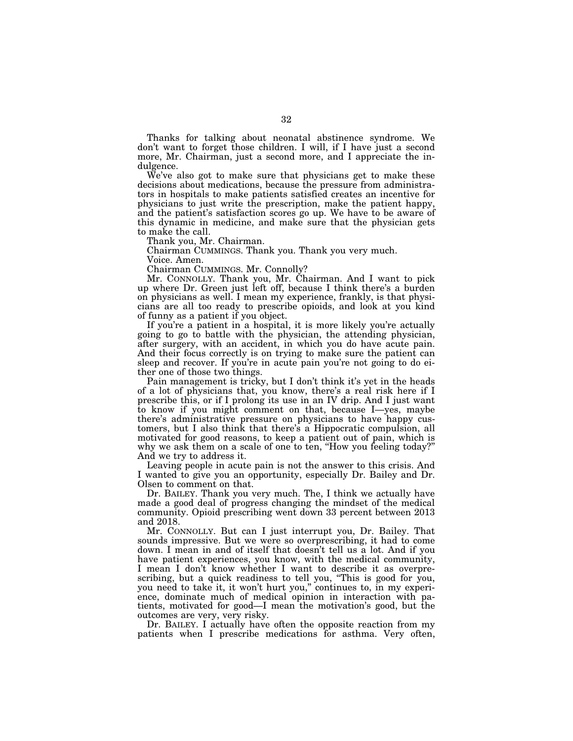Thanks for talking about neonatal abstinence syndrome. We don't want to forget those children. I will, if I have just a second more, Mr. Chairman, just a second more, and I appreciate the indulgence.

We've also got to make sure that physicians get to make these decisions about medications, because the pressure from administrators in hospitals to make patients satisfied creates an incentive for physicians to just write the prescription, make the patient happy, and the patient's satisfaction scores go up. We have to be aware of this dynamic in medicine, and make sure that the physician gets to make the call.

Thank you, Mr. Chairman.

Chairman CUMMINGS. Thank you. Thank you very much.

Voice. Amen.

Chairman CUMMINGS. Mr. Connolly?

Mr. CONNOLLY. Thank you, Mr. Chairman. And I want to pick up where Dr. Green just left off, because I think there's a burden on physicians as well. I mean my experience, frankly, is that physicians are all too ready to prescribe opioids, and look at you kind of funny as a patient if you object.

If you're a patient in a hospital, it is more likely you're actually going to go to battle with the physician, the attending physician, after surgery, with an accident, in which you do have acute pain. And their focus correctly is on trying to make sure the patient can sleep and recover. If you're in acute pain you're not going to do either one of those two things.

Pain management is tricky, but I don't think it's yet in the heads of a lot of physicians that, you know, there's a real risk here if I prescribe this, or if I prolong its use in an IV drip. And I just want to know if you might comment on that, because I—yes, maybe there's administrative pressure on physicians to have happy customers, but I also think that there's a Hippocratic compulsion, all motivated for good reasons, to keep a patient out of pain, which is why we ask them on a scale of one to ten, "How you feeling today?" And we try to address it.

Leaving people in acute pain is not the answer to this crisis. And I wanted to give you an opportunity, especially Dr. Bailey and Dr. Olsen to comment on that.

Dr. BAILEY. Thank you very much. The, I think we actually have made a good deal of progress changing the mindset of the medical community. Opioid prescribing went down 33 percent between 2013 and 2018.

Mr. CONNOLLY. But can I just interrupt you, Dr. Bailey. That sounds impressive. But we were so overprescribing, it had to come down. I mean in and of itself that doesn't tell us a lot. And if you have patient experiences, you know, with the medical community, I mean I don't know whether I want to describe it as overprescribing, but a quick readiness to tell you, ''This is good for you, you need to take it, it won't hurt you,'' continues to, in my experience, dominate much of medical opinion in interaction with patients, motivated for good—I mean the motivation's good, but the outcomes are very, very risky.

Dr. BAILEY. I actually have often the opposite reaction from my patients when I prescribe medications for asthma. Very often,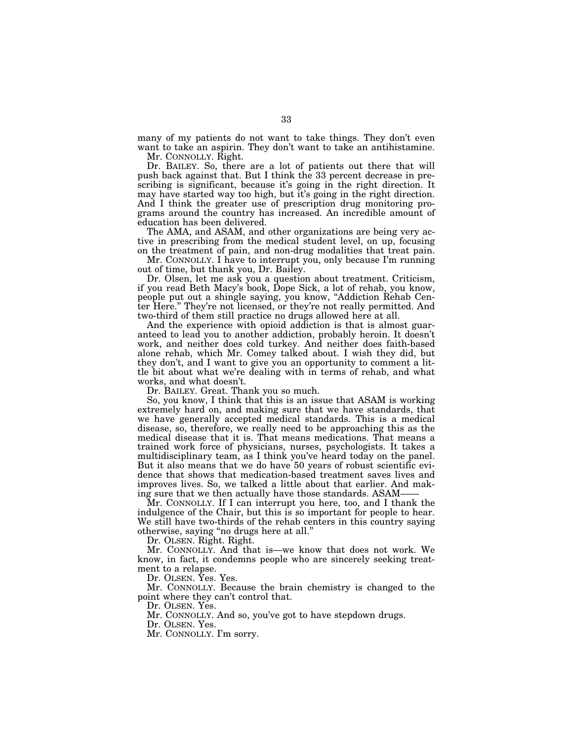many of my patients do not want to take things. They don't even want to take an aspirin. They don't want to take an antihistamine.

Mr. CONNOLLY. Right.

Dr. BAILEY. So, there are a lot of patients out there that will push back against that. But I think the 33 percent decrease in prescribing is significant, because it's going in the right direction. It may have started way too high, but it's going in the right direction. And I think the greater use of prescription drug monitoring programs around the country has increased. An incredible amount of education has been delivered.

The AMA, and ASAM, and other organizations are being very active in prescribing from the medical student level, on up, focusing on the treatment of pain, and non-drug modalities that treat pain.

Mr. CONNOLLY. I have to interrupt you, only because I'm running out of time, but thank you, Dr. Bailey.

Dr. Olsen, let me ask you a question about treatment. Criticism, if you read Beth Macy's book, Dope Sick, a lot of rehab, you know, people put out a shingle saying, you know, ''Addiction Rehab Center Here.'' They're not licensed, or they're not really permitted. And two-third of them still practice no drugs allowed here at all.

And the experience with opioid addiction is that is almost guaranteed to lead you to another addiction, probably heroin. It doesn't work, and neither does cold turkey. And neither does faith-based alone rehab, which Mr. Comey talked about. I wish they did, but they don't, and I want to give you an opportunity to comment a little bit about what we're dealing with in terms of rehab, and what works, and what doesn't.

Dr. BAILEY. Great. Thank you so much.

So, you know, I think that this is an issue that ASAM is working extremely hard on, and making sure that we have standards, that we have generally accepted medical standards. This is a medical disease, so, therefore, we really need to be approaching this as the medical disease that it is. That means medications. That means a trained work force of physicians, nurses, psychologists. It takes a multidisciplinary team, as I think you've heard today on the panel. But it also means that we do have 50 years of robust scientific evidence that shows that medication-based treatment saves lives and improves lives. So, we talked a little about that earlier. And making sure that we then actually have those standards. ASAM-

Mr. CONNOLLY. If I can interrupt you here, too, and I thank the indulgence of the Chair, but this is so important for people to hear. We still have two-thirds of the rehab centers in this country saying otherwise, saying ''no drugs here at all.''

Dr. OLSEN. Right. Right.

Mr. CONNOLLY. And that is—we know that does not work. We know, in fact, it condemns people who are sincerely seeking treatment to a relapse.

Dr. OLSEN. Yes. Yes.

Mr. CONNOLLY. Because the brain chemistry is changed to the point where they can't control that.

Dr. OLSEN. Yes.

Mr. CONNOLLY. And so, you've got to have stepdown drugs.

Dr. OLSEN. Yes.

Mr. CONNOLLY. I'm sorry.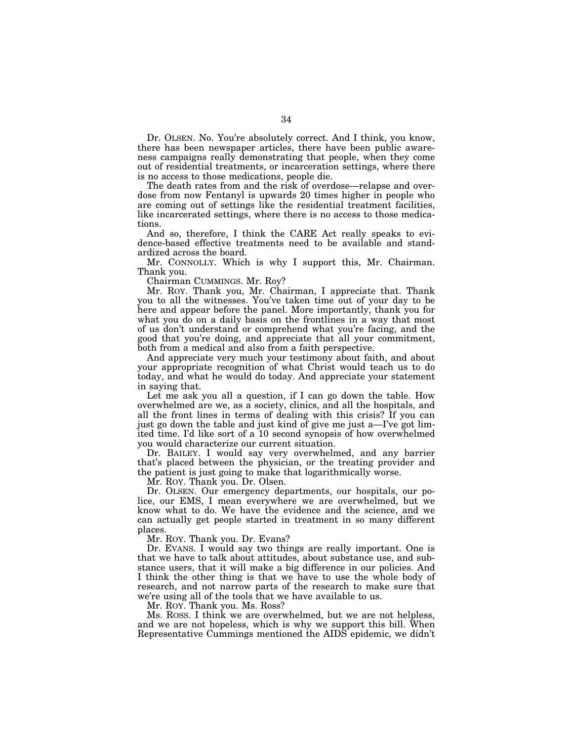Dr. OLSEN. No. You're absolutely correct. And I think, you know, there has been newspaper articles, there have been public awareness campaigns really demonstrating that people, when they come out of residential treatments, or incarceration settings, where there is no access to those medications, people die.

The death rates from and the risk of overdose—relapse and overdose from now Fentanyl is upwards 20 times higher in people who are coming out of settings like the residential treatment facilities, like incarcerated settings, where there is no access to those medications.

And so, therefore, I think the CARE Act really speaks to evidence-based effective treatments need to be available and standardized across the board.

Mr. CONNOLLY. Which is why I support this, Mr. Chairman. Thank you.

Chairman CUMMINGS. Mr. Roy?

Mr. ROY. Thank you, Mr. Chairman, I appreciate that. Thank you to all the witnesses. You've taken time out of your day to be here and appear before the panel. More importantly, thank you for what you do on a daily basis on the frontlines in a way that most of us don't understand or comprehend what you're facing, and the good that you're doing, and appreciate that all your commitment, both from a medical and also from a faith perspective.

And appreciate very much your testimony about faith, and about your appropriate recognition of what Christ would teach us to do today, and what he would do today. And appreciate your statement in saying that.

Let me ask you all a question, if I can go down the table. How overwhelmed are we, as a society, clinics, and all the hospitals, and all the front lines in terms of dealing with this crisis? If you can just go down the table and just kind of give me just a—I've got limited time. I'd like sort of a 10 second synopsis of how overwhelmed you would characterize our current situation.

Dr. BAILEY. I would say very overwhelmed, and any barrier that's placed between the physician, or the treating provider and the patient is just going to make that logarithmically worse.

Mr. ROY. Thank you. Dr. Olsen.

Dr. OLSEN. Our emergency departments, our hospitals, our police, our EMS, I mean everywhere we are overwhelmed, but we know what to do. We have the evidence and the science, and we can actually get people started in treatment in so many different places.

Mr. ROY. Thank you. Dr. Evans?

Dr. EVANS. I would say two things are really important. One is that we have to talk about attitudes, about substance use, and substance users, that it will make a big difference in our policies. And I think the other thing is that we have to use the whole body of research, and not narrow parts of the research to make sure that we're using all of the tools that we have available to us.

Mr. ROY. Thank you. Ms. Ross?

Ms. ROSS. I think we are overwhelmed, but we are not helpless, and we are not hopeless, which is why we support this bill. When Representative Cummings mentioned the AIDS epidemic, we didn't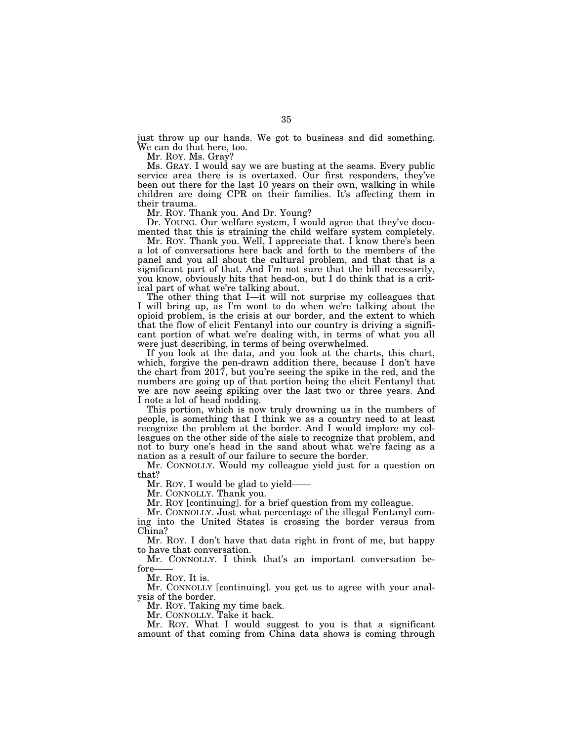just throw up our hands. We got to business and did something. We can do that here, too.

Mr. ROY. Ms. Gray?

Ms. GRAY. I would say we are busting at the seams. Every public service area there is is overtaxed. Our first responders, they've been out there for the last 10 years on their own, walking in while children are doing CPR on their families. It's affecting them in their trauma.

Mr. ROY. Thank you. And Dr. Young?

Dr. YOUNG. Our welfare system, I would agree that they've documented that this is straining the child welfare system completely.

Mr. ROY. Thank you. Well, I appreciate that. I know there's been a lot of conversations here back and forth to the members of the panel and you all about the cultural problem, and that that is a significant part of that. And I'm not sure that the bill necessarily, you know, obviously hits that head-on, but I do think that is a critical part of what we're talking about.

The other thing that I—it will not surprise my colleagues that I will bring up, as I'm wont to do when we're talking about the opioid problem, is the crisis at our border, and the extent to which that the flow of elicit Fentanyl into our country is driving a significant portion of what we're dealing with, in terms of what you all were just describing, in terms of being overwhelmed.

If you look at the data, and you look at the charts, this chart, which, forgive the pen-drawn addition there, because I don't have the chart from 2017, but you're seeing the spike in the red, and the numbers are going up of that portion being the elicit Fentanyl that we are now seeing spiking over the last two or three years. And I note a lot of head nodding.

This portion, which is now truly drowning us in the numbers of people, is something that I think we as a country need to at least recognize the problem at the border. And I would implore my colleagues on the other side of the aisle to recognize that problem, and not to bury one's head in the sand about what we're facing as a nation as a result of our failure to secure the border.

Mr. CONNOLLY. Would my colleague yield just for a question on that?

Mr. Roy. I would be glad to yield-

Mr. CONNOLLY. Thank you.

Mr. ROY [continuing]. for a brief question from my colleague.

Mr. CONNOLLY. Just what percentage of the illegal Fentanyl coming into the United States is crossing the border versus from China?

Mr. ROY. I don't have that data right in front of me, but happy to have that conversation.

Mr. CONNOLLY. I think that's an important conversation before

Mr. ROY. It is.

Mr. CONNOLLY [continuing]. you get us to agree with your analysis of the border.

Mr. ROY. Taking my time back.

Mr. CONNOLLY. Take it back.

Mr. ROY. What I would suggest to you is that a significant amount of that coming from China data shows is coming through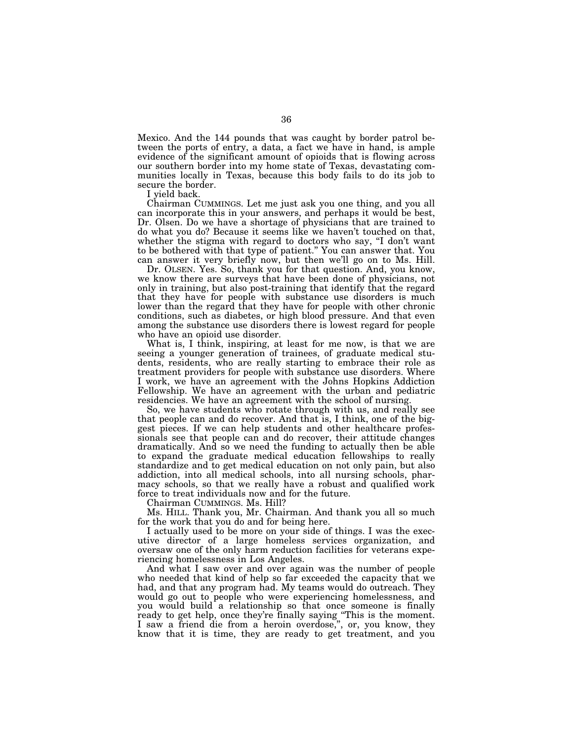Mexico. And the 144 pounds that was caught by border patrol between the ports of entry, a data, a fact we have in hand, is ample evidence of the significant amount of opioids that is flowing across our southern border into my home state of Texas, devastating communities locally in Texas, because this body fails to do its job to secure the border.

I yield back.

Chairman CUMMINGS. Let me just ask you one thing, and you all can incorporate this in your answers, and perhaps it would be best, Dr. Olsen. Do we have a shortage of physicians that are trained to do what you do? Because it seems like we haven't touched on that, whether the stigma with regard to doctors who say, "I don't want to be bothered with that type of patient.'' You can answer that. You can answer it very briefly now, but then we'll go on to Ms. Hill.

Dr. OLSEN. Yes. So, thank you for that question. And, you know, we know there are surveys that have been done of physicians, not only in training, but also post-training that identify that the regard that they have for people with substance use disorders is much lower than the regard that they have for people with other chronic conditions, such as diabetes, or high blood pressure. And that even among the substance use disorders there is lowest regard for people who have an opioid use disorder.

What is, I think, inspiring, at least for me now, is that we are seeing a younger generation of trainees, of graduate medical students, residents, who are really starting to embrace their role as treatment providers for people with substance use disorders. Where I work, we have an agreement with the Johns Hopkins Addiction Fellowship. We have an agreement with the urban and pediatric residencies. We have an agreement with the school of nursing.

So, we have students who rotate through with us, and really see that people can and do recover. And that is, I think, one of the biggest pieces. If we can help students and other healthcare professionals see that people can and do recover, their attitude changes dramatically. And so we need the funding to actually then be able to expand the graduate medical education fellowships to really standardize and to get medical education on not only pain, but also addiction, into all medical schools, into all nursing schools, pharmacy schools, so that we really have a robust and qualified work force to treat individuals now and for the future.

Chairman CUMMINGS. Ms. Hill?

Ms. HILL. Thank you, Mr. Chairman. And thank you all so much for the work that you do and for being here.

I actually used to be more on your side of things. I was the executive director of a large homeless services organization, and oversaw one of the only harm reduction facilities for veterans experiencing homelessness in Los Angeles.

And what I saw over and over again was the number of people who needed that kind of help so far exceeded the capacity that we had, and that any program had. My teams would do outreach. They would go out to people who were experiencing homelessness, and you would build a relationship so that once someone is finally ready to get help, once they're finally saying ''This is the moment. I saw a friend die from a heroin overdose,'', or, you know, they know that it is time, they are ready to get treatment, and you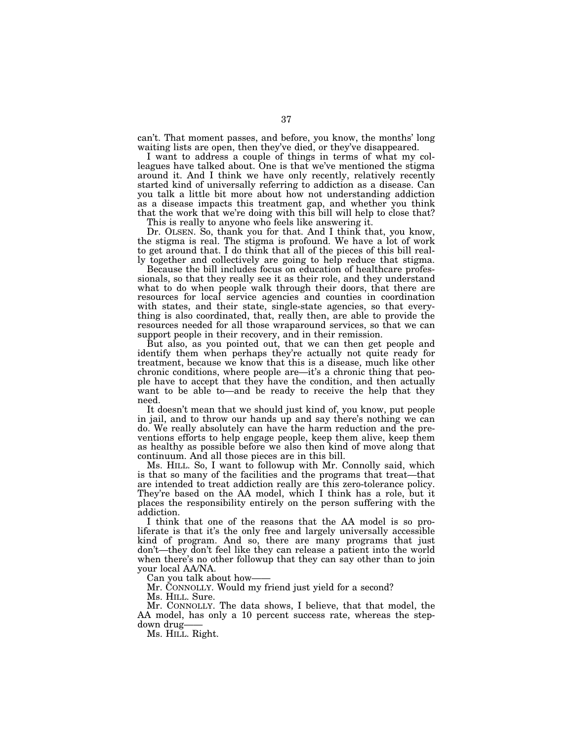can't. That moment passes, and before, you know, the months' long waiting lists are open, then they've died, or they've disappeared.

I want to address a couple of things in terms of what my colleagues have talked about. One is that we've mentioned the stigma around it. And I think we have only recently, relatively recently started kind of universally referring to addiction as a disease. Can you talk a little bit more about how not understanding addiction as a disease impacts this treatment gap, and whether you think that the work that we're doing with this bill will help to close that?

This is really to anyone who feels like answering it.

Dr. OLSEN. So, thank you for that. And I think that, you know, the stigma is real. The stigma is profound. We have a lot of work to get around that. I do think that all of the pieces of this bill really together and collectively are going to help reduce that stigma.

Because the bill includes focus on education of healthcare professionals, so that they really see it as their role, and they understand what to do when people walk through their doors, that there are resources for local service agencies and counties in coordination with states, and their state, single-state agencies, so that everything is also coordinated, that, really then, are able to provide the resources needed for all those wraparound services, so that we can support people in their recovery, and in their remission.

But also, as you pointed out, that we can then get people and identify them when perhaps they're actually not quite ready for treatment, because we know that this is a disease, much like other chronic conditions, where people are—it's a chronic thing that people have to accept that they have the condition, and then actually want to be able to—and be ready to receive the help that they need.

It doesn't mean that we should just kind of, you know, put people in jail, and to throw our hands up and say there's nothing we can do. We really absolutely can have the harm reduction and the preventions efforts to help engage people, keep them alive, keep them as healthy as possible before we also then kind of move along that continuum. And all those pieces are in this bill.

Ms. HILL. So, I want to followup with Mr. Connolly said, which is that so many of the facilities and the programs that treat—that are intended to treat addiction really are this zero-tolerance policy. They're based on the AA model, which I think has a role, but it places the responsibility entirely on the person suffering with the addiction.

I think that one of the reasons that the AA model is so proliferate is that it's the only free and largely universally accessible kind of program. And so, there are many programs that just don't—they don't feel like they can release a patient into the world when there's no other followup that they can say other than to join your local AA/NA.

Can you talk about how-

Mr. CONNOLLY. Would my friend just yield for a second?

Ms. HILL. Sure.

Mr. CONNOLLY. The data shows, I believe, that that model, the AA model, has only a 10 percent success rate, whereas the stepdown drug——

Ms. HILL. Right.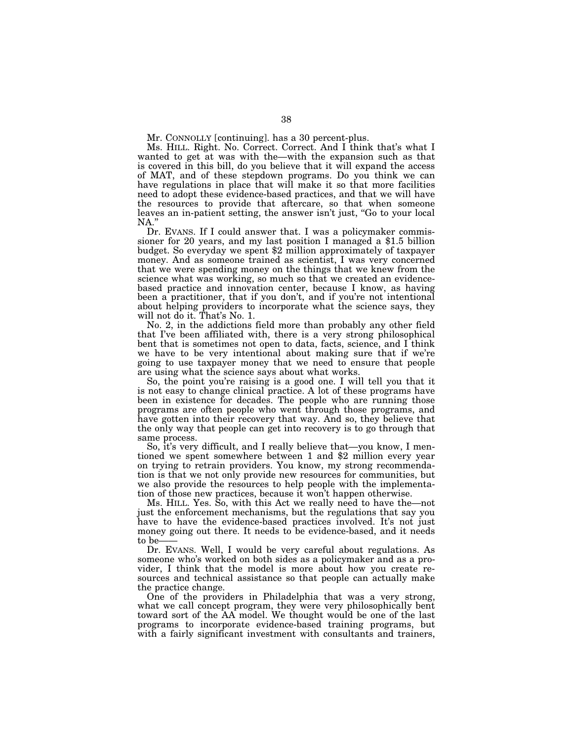Mr. CONNOLLY [continuing]. has a 30 percent-plus.

Ms. HILL. Right. No. Correct. Correct. And I think that's what I wanted to get at was with the—with the expansion such as that is covered in this bill, do you believe that it will expand the access of MAT, and of these stepdown programs. Do you think we can have regulations in place that will make it so that more facilities need to adopt these evidence-based practices, and that we will have the resources to provide that aftercare, so that when someone leaves an in-patient setting, the answer isn't just, ''Go to your local NA.''

Dr. EVANS. If I could answer that. I was a policymaker commis- sioner for 20 years, and my last position I managed a \$1.5 billion budget. So everyday we spent \$2 million approximately of taxpayer money. And as someone trained as scientist, I was very concerned that we were spending money on the things that we knew from the science what was working, so much so that we created an evidencebased practice and innovation center, because I know, as having been a practitioner, that if you don't, and if you're not intentional about helping providers to incorporate what the science says, they will not do it. That's No. 1.

No. 2, in the addictions field more than probably any other field that I've been affiliated with, there is a very strong philosophical bent that is sometimes not open to data, facts, science, and I think we have to be very intentional about making sure that if we're going to use taxpayer money that we need to ensure that people are using what the science says about what works.

So, the point you're raising is a good one. I will tell you that it is not easy to change clinical practice. A lot of these programs have been in existence for decades. The people who are running those programs are often people who went through those programs, and have gotten into their recovery that way. And so, they believe that the only way that people can get into recovery is to go through that same process.

So, it's very difficult, and I really believe that—you know, I mentioned we spent somewhere between 1 and \$2 million every year on trying to retrain providers. You know, my strong recommendation is that we not only provide new resources for communities, but we also provide the resources to help people with the implementation of those new practices, because it won't happen otherwise.

Ms. HILL. Yes. So, with this Act we really need to have the—not just the enforcement mechanisms, but the regulations that say you have to have the evidence-based practices involved. It's not just money going out there. It needs to be evidence-based, and it needs to be-

Dr. EVANS. Well, I would be very careful about regulations. As someone who's worked on both sides as a policymaker and as a provider, I think that the model is more about how you create resources and technical assistance so that people can actually make the practice change.

One of the providers in Philadelphia that was a very strong, what we call concept program, they were very philosophically bent toward sort of the AA model. We thought would be one of the last programs to incorporate evidence-based training programs, but with a fairly significant investment with consultants and trainers,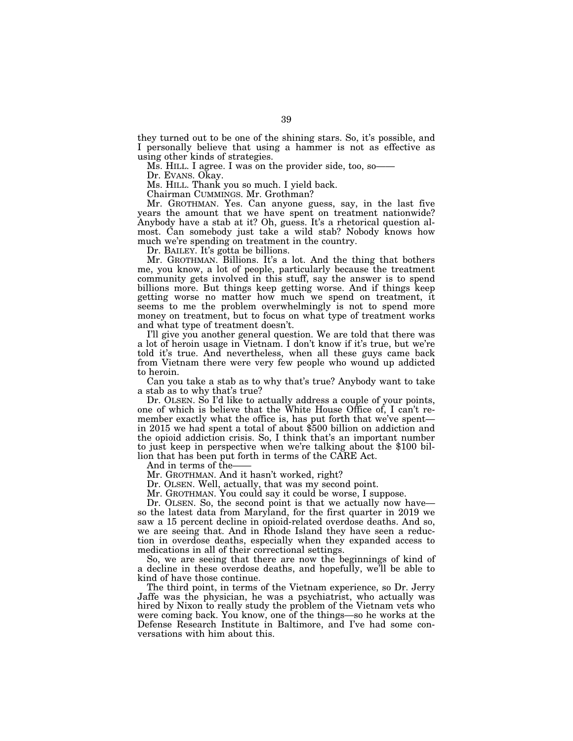they turned out to be one of the shining stars. So, it's possible, and I personally believe that using a hammer is not as effective as using other kinds of strategies.

Ms. HILL. I agree. I was on the provider side, too, so-

Dr. EVANS. Okay.

Ms. HILL. Thank you so much. I yield back.

Chairman CUMMINGS. Mr. Grothman?

Mr. GROTHMAN. Yes. Can anyone guess, say, in the last five years the amount that we have spent on treatment nationwide? Anybody have a stab at it? Oh, guess. It's a rhetorical question almost. Can somebody just take a wild stab? Nobody knows how much we're spending on treatment in the country.

Dr. BAILEY. It's gotta be billions.

Mr. GROTHMAN. Billions. It's a lot. And the thing that bothers me, you know, a lot of people, particularly because the treatment community gets involved in this stuff, say the answer is to spend billions more. But things keep getting worse. And if things keep getting worse no matter how much we spend on treatment, it seems to me the problem overwhelmingly is not to spend more money on treatment, but to focus on what type of treatment works and what type of treatment doesn't.

I'll give you another general question. We are told that there was a lot of heroin usage in Vietnam. I don't know if it's true, but we're told it's true. And nevertheless, when all these guys came back from Vietnam there were very few people who wound up addicted to heroin.

Can you take a stab as to why that's true? Anybody want to take a stab as to why that's true?

Dr. OLSEN. So I'd like to actually address a couple of your points, one of which is believe that the White House Office of, I can't remember exactly what the office is, has put forth that we've spent in 2015 we had spent a total of about \$500 billion on addiction and the opioid addiction crisis. So, I think that's an important number to just keep in perspective when we're talking about the \$100 billion that has been put forth in terms of the CARE Act.

And in terms of the-

Mr. GROTHMAN. And it hasn't worked, right?

Dr. OLSEN. Well, actually, that was my second point.

Mr. GROTHMAN. You could say it could be worse, I suppose.

Dr. OLSEN. So, the second point is that we actually now have so the latest data from Maryland, for the first quarter in 2019 we saw a 15 percent decline in opioid-related overdose deaths. And so, we are seeing that. And in Rhode Island they have seen a reduction in overdose deaths, especially when they expanded access to medications in all of their correctional settings.

So, we are seeing that there are now the beginnings of kind of a decline in these overdose deaths, and hopefully, we'll be able to kind of have those continue.

The third point, in terms of the Vietnam experience, so Dr. Jerry Jaffe was the physician, he was a psychiatrist, who actually was hired by Nixon to really study the problem of the Vietnam vets who were coming back. You know, one of the things—so he works at the Defense Research Institute in Baltimore, and I've had some conversations with him about this.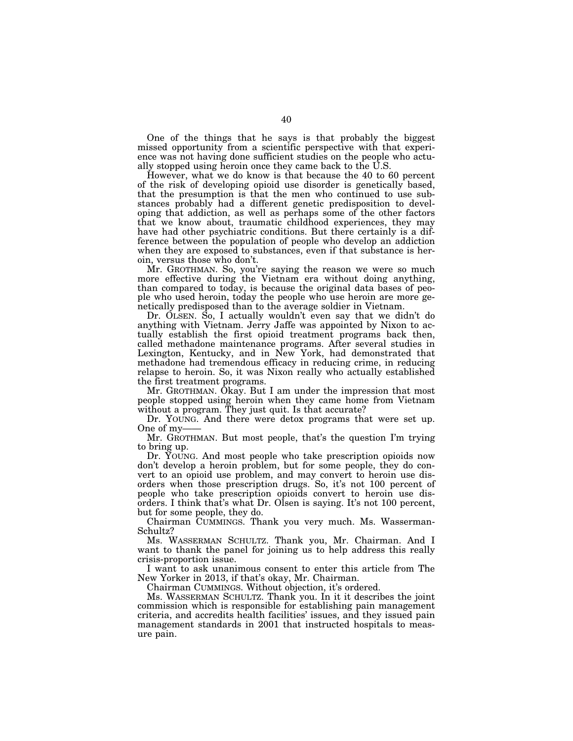One of the things that he says is that probably the biggest missed opportunity from a scientific perspective with that experience was not having done sufficient studies on the people who actually stopped using heroin once they came back to the U.S.

However, what we do know is that because the 40 to 60 percent of the risk of developing opioid use disorder is genetically based, that the presumption is that the men who continued to use substances probably had a different genetic predisposition to developing that addiction, as well as perhaps some of the other factors that we know about, traumatic childhood experiences, they may have had other psychiatric conditions. But there certainly is a difference between the population of people who develop an addiction when they are exposed to substances, even if that substance is heroin, versus those who don't.

Mr. GROTHMAN. So, you're saying the reason we were so much more effective during the Vietnam era without doing anything, than compared to today, is because the original data bases of people who used heroin, today the people who use heroin are more genetically predisposed than to the average soldier in Vietnam.

Dr. OLSEN. So, I actually wouldn't even say that we didn't do anything with Vietnam. Jerry Jaffe was appointed by Nixon to actually establish the first opioid treatment programs back then, called methadone maintenance programs. After several studies in Lexington, Kentucky, and in New York, had demonstrated that methadone had tremendous efficacy in reducing crime, in reducing relapse to heroin. So, it was Nixon really who actually established the first treatment programs.

Mr. GROTHMAN. Okay. But I am under the impression that most people stopped using heroin when they came home from Vietnam without a program. They just quit. Is that accurate?

Dr. YOUNG. And there were detox programs that were set up. One of my-

Mr. GROTHMAN. But most people, that's the question I'm trying to bring up.

Dr. YOUNG. And most people who take prescription opioids now don't develop a heroin problem, but for some people, they do convert to an opioid use problem, and may convert to heroin use disorders when those prescription drugs. So, it's not 100 percent of people who take prescription opioids convert to heroin use disorders. I think that's what Dr. Olsen is saying. It's not 100 percent, but for some people, they do.

Chairman CUMMINGS. Thank you very much. Ms. Wasserman-Schultz?

Ms. WASSERMAN SCHULTZ. Thank you, Mr. Chairman. And I want to thank the panel for joining us to help address this really crisis-proportion issue.

I want to ask unanimous consent to enter this article from The New Yorker in 2013, if that's okay, Mr. Chairman.

Chairman CUMMINGS. Without objection, it's ordered.

Ms. WASSERMAN SCHULTZ. Thank you. In it it describes the joint commission which is responsible for establishing pain management criteria, and accredits health facilities' issues, and they issued pain management standards in 2001 that instructed hospitals to measure pain.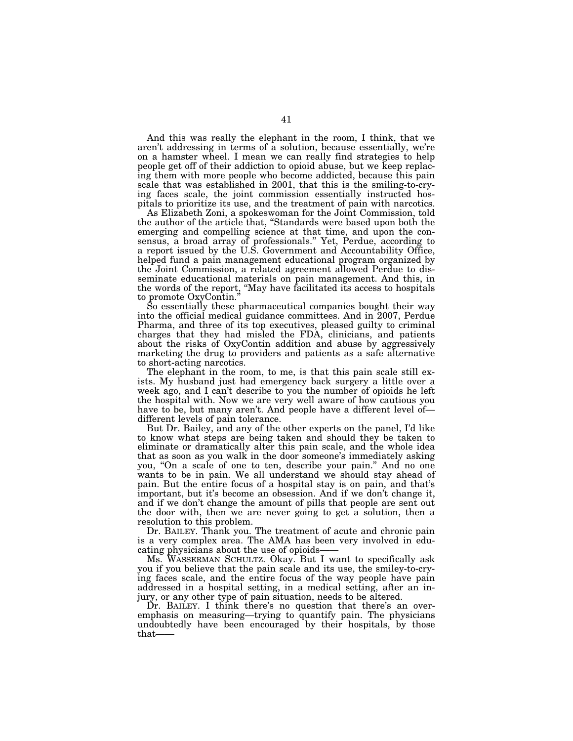And this was really the elephant in the room, I think, that we aren't addressing in terms of a solution, because essentially, we're on a hamster wheel. I mean we can really find strategies to help people get off of their addiction to opioid abuse, but we keep replacing them with more people who become addicted, because this pain scale that was established in 2001, that this is the smiling-to-crying faces scale, the joint commission essentially instructed hospitals to prioritize its use, and the treatment of pain with narcotics.

As Elizabeth Zoni, a spokeswoman for the Joint Commission, told the author of the article that, ''Standards were based upon both the emerging and compelling science at that time, and upon the consensus, a broad array of professionals.'' Yet, Perdue, according to a report issued by the U.S. Government and Accountability Office, helped fund a pain management educational program organized by the Joint Commission, a related agreement allowed Perdue to disseminate educational materials on pain management. And this, in the words of the report, ''May have facilitated its access to hospitals to promote OxyContin.''

So essentially these pharmaceutical companies bought their way into the official medical guidance committees. And in 2007, Perdue Pharma, and three of its top executives, pleased guilty to criminal charges that they had misled the FDA, clinicians, and patients about the risks of OxyContin addition and abuse by aggressively marketing the drug to providers and patients as a safe alternative to short-acting narcotics.

The elephant in the room, to me, is that this pain scale still exists. My husband just had emergency back surgery a little over a week ago, and I can't describe to you the number of opioids he left the hospital with. Now we are very well aware of how cautious you have to be, but many aren't. And people have a different level ofdifferent levels of pain tolerance.

But Dr. Bailey, and any of the other experts on the panel, I'd like to know what steps are being taken and should they be taken to eliminate or dramatically alter this pain scale, and the whole idea that as soon as you walk in the door someone's immediately asking you, "On a scale of one to ten, describe your pain." And no one wants to be in pain. We all understand we should stay ahead of pain. But the entire focus of a hospital stay is on pain, and that's important, but it's become an obsession. And if we don't change it, and if we don't change the amount of pills that people are sent out the door with, then we are never going to get a solution, then a resolution to this problem.

Dr. BAILEY. Thank you. The treatment of acute and chronic pain is a very complex area. The AMA has been very involved in educating physicians about the use of opioids——

Ms. WASSERMAN SCHULTZ. Okay. But I want to specifically ask you if you believe that the pain scale and its use, the smiley-to-crying faces scale, and the entire focus of the way people have pain addressed in a hospital setting, in a medical setting, after an injury, or any other type of pain situation, needs to be altered.

Dr. BAILEY. I think there's no question that there's an overemphasis on measuring—trying to quantify pain. The physicians undoubtedly have been encouraged by their hospitals, by those that——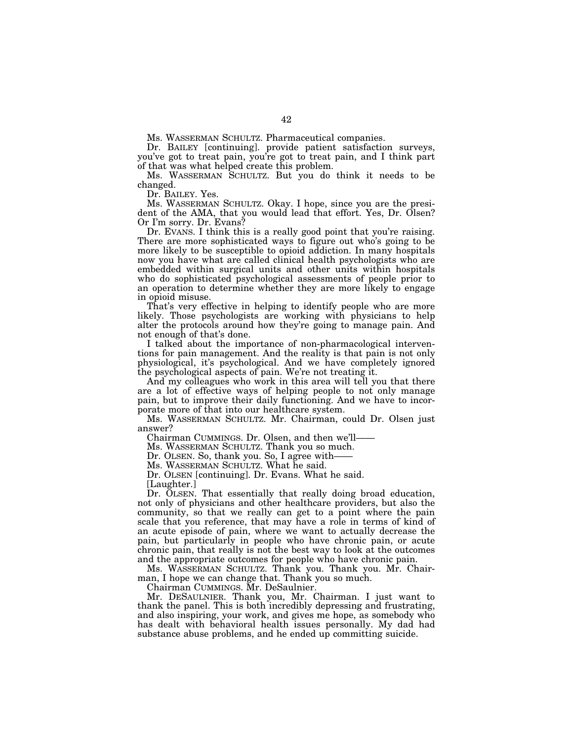Ms. WASSERMAN SCHULTZ. Pharmaceutical companies.

Dr. BAILEY [continuing]. provide patient satisfaction surveys, you've got to treat pain, you're got to treat pain, and I think part of that was what helped create this problem.

Ms. WASSERMAN SCHULTZ. But you do think it needs to be changed.

Dr. BAILEY. Yes.

Ms. WASSERMAN SCHULTZ. Okay. I hope, since you are the president of the AMA, that you would lead that effort. Yes, Dr. Olsen? Or I'm sorry. Dr. Evans?

Dr. EVANS. I think this is a really good point that you're raising. There are more sophisticated ways to figure out who's going to be more likely to be susceptible to opioid addiction. In many hospitals now you have what are called clinical health psychologists who are embedded within surgical units and other units within hospitals who do sophisticated psychological assessments of people prior to an operation to determine whether they are more likely to engage in opioid misuse.

That's very effective in helping to identify people who are more likely. Those psychologists are working with physicians to help alter the protocols around how they're going to manage pain. And not enough of that's done.

I talked about the importance of non-pharmacological interventions for pain management. And the reality is that pain is not only physiological, it's psychological. And we have completely ignored the psychological aspects of pain. We're not treating it.

And my colleagues who work in this area will tell you that there are a lot of effective ways of helping people to not only manage pain, but to improve their daily functioning. And we have to incorporate more of that into our healthcare system.

Ms. WASSERMAN SCHULTZ. Mr. Chairman, could Dr. Olsen just answer?

Chairman CUMMINGS. Dr. Olsen, and then we'll——

Ms. WASSERMAN SCHULTZ. Thank you so much.

Dr. OLSEN. So, thank you. So, I agree with-

Ms. WASSERMAN SCHULTZ. What he said.

Dr. OLSEN [continuing]. Dr. Evans. What he said. [Laughter.]

Dr. OLSEN. That essentially that really doing broad education, not only of physicians and other healthcare providers, but also the community, so that we really can get to a point where the pain scale that you reference, that may have a role in terms of kind of an acute episode of pain, where we want to actually decrease the pain, but particularly in people who have chronic pain, or acute chronic pain, that really is not the best way to look at the outcomes and the appropriate outcomes for people who have chronic pain.

Ms. WASSERMAN SCHULTZ. Thank you. Thank you. Mr. Chairman, I hope we can change that. Thank you so much.

Chairman CUMMINGS. Mr. DeSaulnier.

Mr. DESAULNIER. Thank you, Mr. Chairman. I just want to thank the panel. This is both incredibly depressing and frustrating, and also inspiring, your work, and gives me hope, as somebody who has dealt with behavioral health issues personally. My dad had substance abuse problems, and he ended up committing suicide.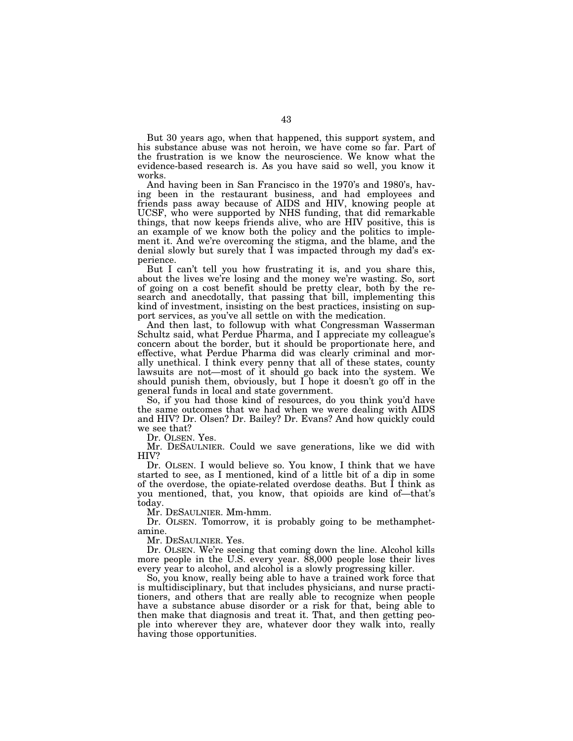But 30 years ago, when that happened, this support system, and his substance abuse was not heroin, we have come so far. Part of the frustration is we know the neuroscience. We know what the evidence-based research is. As you have said so well, you know it works.

And having been in San Francisco in the 1970's and 1980's, having been in the restaurant business, and had employees and friends pass away because of AIDS and HIV, knowing people at UCSF, who were supported by NHS funding, that did remarkable things, that now keeps friends alive, who are HIV positive, this is an example of we know both the policy and the politics to implement it. And we're overcoming the stigma, and the blame, and the denial slowly but surely that I was impacted through my dad's experience.

But I can't tell you how frustrating it is, and you share this, about the lives we're losing and the money we're wasting. So, sort of going on a cost benefit should be pretty clear, both by the research and anecdotally, that passing that bill, implementing this kind of investment, insisting on the best practices, insisting on support services, as you've all settle on with the medication.

And then last, to followup with what Congressman Wasserman Schultz said, what Perdue Pharma, and I appreciate my colleague's concern about the border, but it should be proportionate here, and effective, what Perdue Pharma did was clearly criminal and morally unethical. I think every penny that all of these states, county lawsuits are not—most of it should go back into the system. We should punish them, obviously, but I hope it doesn't go off in the general funds in local and state government.

So, if you had those kind of resources, do you think you'd have the same outcomes that we had when we were dealing with AIDS and HIV? Dr. Olsen? Dr. Bailey? Dr. Evans? And how quickly could we see that?

Dr. OLSEN. Yes.

Mr. DESAULNIER. Could we save generations, like we did with HIV?

Dr. OLSEN. I would believe so. You know, I think that we have started to see, as I mentioned, kind of a little bit of a dip in some of the overdose, the opiate-related overdose deaths. But I think as you mentioned, that, you know, that opioids are kind of—that's today.

Mr. DESAULNIER. Mm-hmm.

Dr. OLSEN. Tomorrow, it is probably going to be methamphetamine.

Mr. DESAULNIER. Yes.

Dr. OLSEN. We're seeing that coming down the line. Alcohol kills more people in the U.S. every year. 88,000 people lose their lives every year to alcohol, and alcohol is a slowly progressing killer.

So, you know, really being able to have a trained work force that is multidisciplinary, but that includes physicians, and nurse practitioners, and others that are really able to recognize when people have a substance abuse disorder or a risk for that, being able to then make that diagnosis and treat it. That, and then getting people into wherever they are, whatever door they walk into, really having those opportunities.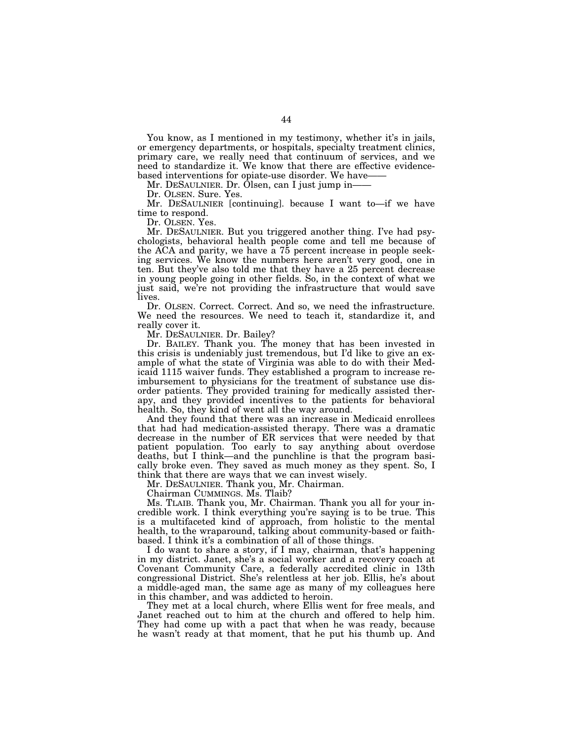You know, as I mentioned in my testimony, whether it's in jails, or emergency departments, or hospitals, specialty treatment clinics, primary care, we really need that continuum of services, and we need to standardize it. We know that there are effective evidencebased interventions for opiate-use disorder. We have-

Mr. DESAULNIER. Dr. Olsen, can I just jump in——

Dr. OLSEN. Sure. Yes.

Mr. DESAULNIER [continuing]. because I want to—if we have time to respond.

Dr. OLSEN. Yes.

Mr. DESAULNIER. But you triggered another thing. I've had psychologists, behavioral health people come and tell me because of the ACA and parity, we have a  $75$  percent increase in people seeking services. We know the numbers here aren't very good, one in ten. But they've also told me that they have a 25 percent decrease in young people going in other fields. So, in the context of what we just said, we're not providing the infrastructure that would save lives.

Dr. OLSEN. Correct. Correct. And so, we need the infrastructure. We need the resources. We need to teach it, standardize it, and really cover it.

Mr. DESAULNIER. Dr. Bailey?

Dr. BAILEY. Thank you. The money that has been invested in this crisis is undeniably just tremendous, but I'd like to give an example of what the state of Virginia was able to do with their Medicaid 1115 waiver funds. They established a program to increase reimbursement to physicians for the treatment of substance use disorder patients. They provided training for medically assisted therapy, and they provided incentives to the patients for behavioral health. So, they kind of went all the way around.

And they found that there was an increase in Medicaid enrollees that had had medication-assisted therapy. There was a dramatic decrease in the number of ER services that were needed by that patient population. Too early to say anything about overdose deaths, but I think—and the punchline is that the program basically broke even. They saved as much money as they spent. So, I think that there are ways that we can invest wisely.

Mr. DESAULNIER. Thank you, Mr. Chairman.

Chairman CUMMINGS. Ms. Tlaib?

Ms. TLAIB. Thank you, Mr. Chairman. Thank you all for your incredible work. I think everything you're saying is to be true. This is a multifaceted kind of approach, from holistic to the mental health, to the wraparound, talking about community-based or faithbased. I think it's a combination of all of those things.

I do want to share a story, if I may, chairman, that's happening in my district. Janet, she's a social worker and a recovery coach at Covenant Community Care, a federally accredited clinic in 13th congressional District. She's relentless at her job. Ellis, he's about a middle-aged man, the same age as many of my colleagues here in this chamber, and was addicted to heroin.

They met at a local church, where Ellis went for free meals, and Janet reached out to him at the church and offered to help him. They had come up with a pact that when he was ready, because he wasn't ready at that moment, that he put his thumb up. And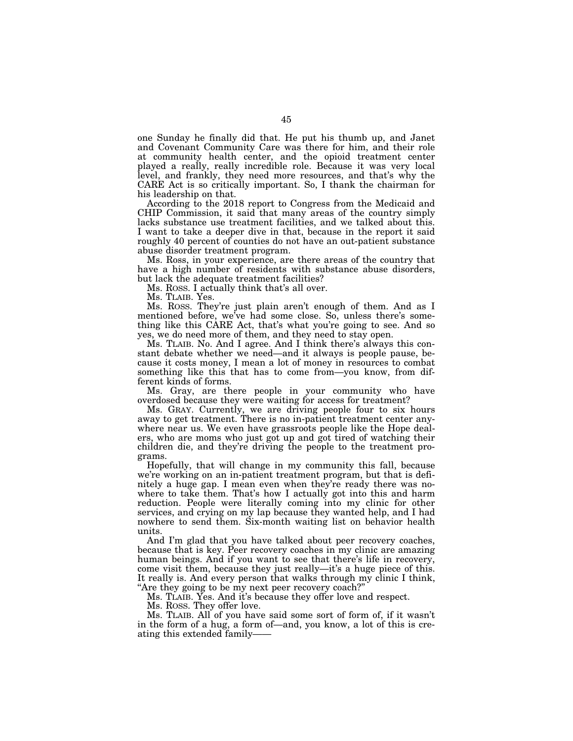one Sunday he finally did that. He put his thumb up, and Janet and Covenant Community Care was there for him, and their role at community health center, and the opioid treatment center played a really, really incredible role. Because it was very local level, and frankly, they need more resources, and that's why the CARE Act is so critically important. So, I thank the chairman for his leadership on that.

According to the 2018 report to Congress from the Medicaid and CHIP Commission, it said that many areas of the country simply lacks substance use treatment facilities, and we talked about this. I want to take a deeper dive in that, because in the report it said roughly 40 percent of counties do not have an out-patient substance abuse disorder treatment program.

Ms. Ross, in your experience, are there areas of the country that have a high number of residents with substance abuse disorders, but lack the adequate treatment facilities?

Ms. ROSS. I actually think that's all over.

Ms. TLAIB. Yes.

Ms. ROSS. They're just plain aren't enough of them. And as I mentioned before, we've had some close. So, unless there's something like this CARE Act, that's what you're going to see. And so yes, we do need more of them, and they need to stay open.

Ms. TLAIB. No. And I agree. And I think there's always this constant debate whether we need—and it always is people pause, because it costs money, I mean a lot of money in resources to combat something like this that has to come from—you know, from different kinds of forms.

Ms. Gray, are there people in your community who have overdosed because they were waiting for access for treatment?

Ms. GRAY. Currently, we are driving people four to six hours away to get treatment. There is no in-patient treatment center anywhere near us. We even have grassroots people like the Hope dealers, who are moms who just got up and got tired of watching their children die, and they're driving the people to the treatment programs.

Hopefully, that will change in my community this fall, because we're working on an in-patient treatment program, but that is definitely a huge gap. I mean even when they're ready there was nowhere to take them. That's how I actually got into this and harm reduction. People were literally coming into my clinic for other services, and crying on my lap because they wanted help, and I had nowhere to send them. Six-month waiting list on behavior health units.

And I'm glad that you have talked about peer recovery coaches, because that is key. Peer recovery coaches in my clinic are amazing human beings. And if you want to see that there's life in recovery, come visit them, because they just really—it's a huge piece of this. It really is. And every person that walks through my clinic I think, ''Are they going to be my next peer recovery coach?''

Ms. TLAIB. Yes. And it's because they offer love and respect.

Ms. ROSS. They offer love.

Ms. TLAIB. All of you have said some sort of form of, if it wasn't in the form of a hug, a form of—and, you know, a lot of this is creating this extended family——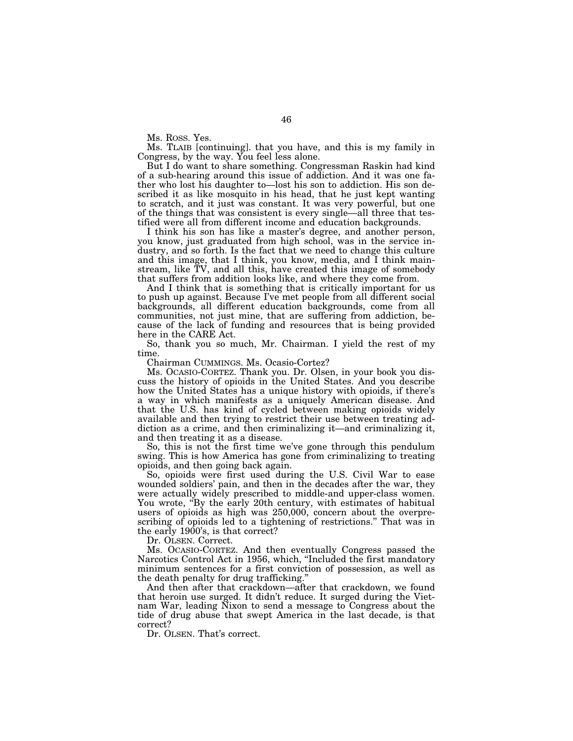Ms. ROSS. Yes.

Ms. TLAIB [continuing]. that you have, and this is my family in Congress, by the way. You feel less alone.

But I do want to share something. Congressman Raskin had kind of a sub-hearing around this issue of addiction. And it was one father who lost his daughter to—lost his son to addiction. His son described it as like mosquito in his head, that he just kept wanting to scratch, and it just was constant. It was very powerful, but one of the things that was consistent is every single—all three that testified were all from different income and education backgrounds.

I think his son has like a master's degree, and another person, you know, just graduated from high school, was in the service industry, and so forth. Is the fact that we need to change this culture and this image, that I think, you know, media, and I think mainstream, like TV, and all this, have created this image of somebody that suffers from addition looks like, and where they come from.

And I think that is something that is critically important for us to push up against. Because I've met people from all different social backgrounds, all different education backgrounds, come from all communities, not just mine, that are suffering from addiction, because of the lack of funding and resources that is being provided here in the CARE Act.

So, thank you so much, Mr. Chairman. I yield the rest of my time.

Chairman CUMMINGS. Ms. Ocasio-Cortez?

Ms. OCASIO-CORTEZ. Thank you. Dr. Olsen, in your book you discuss the history of opioids in the United States. And you describe how the United States has a unique history with opioids, if there's a way in which manifests as a uniquely American disease. And that the U.S. has kind of cycled between making opioids widely available and then trying to restrict their use between treating addiction as a crime, and then criminalizing it—and criminalizing it, and then treating it as a disease.

So, this is not the first time we've gone through this pendulum swing. This is how America has gone from criminalizing to treating opioids, and then going back again.

So, opioids were first used during the U.S. Civil War to ease wounded soldiers' pain, and then in the decades after the war, they were actually widely prescribed to middle-and upper-class women. You wrote, "By the early 20th century, with estimates of habitual users of opioids as high was 250,000, concern about the overprescribing of opioids led to a tightening of restrictions.'' That was in the early 1900's, is that correct?

Dr. OLSEN. Correct.

Ms. OCASIO-CORTEZ. And then eventually Congress passed the Narcotics Control Act in 1956, which, ''Included the first mandatory minimum sentences for a first conviction of possession, as well as the death penalty for drug trafficking.''

And then after that crackdown—after that crackdown, we found that heroin use surged. It didn't reduce. It surged during the Vietnam War, leading Nixon to send a message to Congress about the tide of drug abuse that swept America in the last decade, is that correct?

Dr. OLSEN. That's correct.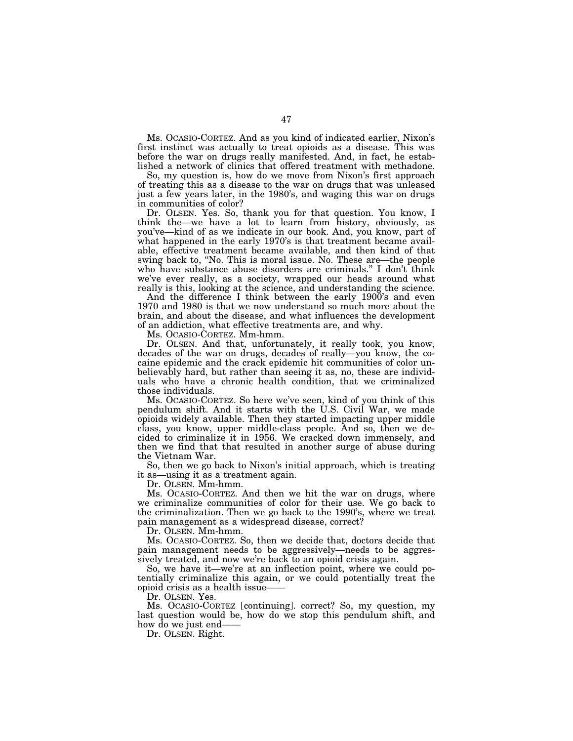Ms. OCASIO-CORTEZ. And as you kind of indicated earlier, Nixon's first instinct was actually to treat opioids as a disease. This was before the war on drugs really manifested. And, in fact, he established a network of clinics that offered treatment with methadone.

So, my question is, how do we move from Nixon's first approach of treating this as a disease to the war on drugs that was unleased just a few years later, in the 1980's, and waging this war on drugs in communities of color?

Dr. OLSEN. Yes. So, thank you for that question. You know, I think the—we have a lot to learn from history, obviously, as you've—kind of as we indicate in our book. And, you know, part of what happened in the early 1970's is that treatment became available, effective treatment became available, and then kind of that swing back to, "No. This is moral issue. No. These are—the people who have substance abuse disorders are criminals.'' I don't think we've ever really, as a society, wrapped our heads around what really is this, looking at the science, and understanding the science.

And the difference I think between the early 1900's and even 1970 and 1980 is that we now understand so much more about the brain, and about the disease, and what influences the development of an addiction, what effective treatments are, and why.

Ms. OCASIO-CORTEZ. Mm-hmm.

Dr. OLSEN. And that, unfortunately, it really took, you know, decades of the war on drugs, decades of really—you know, the cocaine epidemic and the crack epidemic hit communities of color unbelievably hard, but rather than seeing it as, no, these are individuals who have a chronic health condition, that we criminalized those individuals.

Ms. OCASIO-CORTEZ. So here we've seen, kind of you think of this pendulum shift. And it starts with the U.S. Civil War, we made opioids widely available. Then they started impacting upper middle class, you know, upper middle-class people. And so, then we decided to criminalize it in 1956. We cracked down immensely, and then we find that that resulted in another surge of abuse during the Vietnam War.

So, then we go back to Nixon's initial approach, which is treating it as—using it as a treatment again.

Dr. OLSEN. Mm-hmm.

Ms. OCASIO-CORTEZ. And then we hit the war on drugs, where we criminalize communities of color for their use. We go back to the criminalization. Then we go back to the 1990's, where we treat pain management as a widespread disease, correct?

Dr. OLSEN. Mm-hmm.

Ms. OCASIO-CORTEZ. So, then we decide that, doctors decide that pain management needs to be aggressively—needs to be aggressively treated, and now we're back to an opioid crisis again.

So, we have it—we're at an inflection point, where we could potentially criminalize this again, or we could potentially treat the opioid crisis as a health issue——

Dr. OLSEN. Yes.

Ms. OCASIO-CORTEZ [continuing]. correct? So, my question, my last question would be, how do we stop this pendulum shift, and how do we just end——

Dr. OLSEN. Right.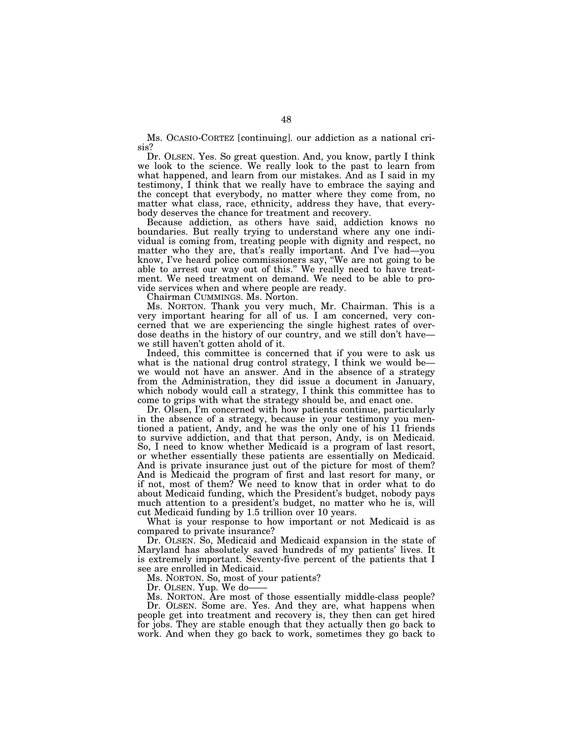Ms. OCASIO-CORTEZ [continuing]. our addiction as a national crisis?

Dr. OLSEN. Yes. So great question. And, you know, partly I think we look to the science. We really look to the past to learn from what happened, and learn from our mistakes. And as I said in my testimony, I think that we really have to embrace the saying and the concept that everybody, no matter where they come from, no matter what class, race, ethnicity, address they have, that everybody deserves the chance for treatment and recovery.

Because addiction, as others have said, addiction knows no boundaries. But really trying to understand where any one individual is coming from, treating people with dignity and respect, no matter who they are, that's really important. And I've had—you know, I've heard police commissioners say, ''We are not going to be able to arrest our way out of this.'' We really need to have treatment. We need treatment on demand. We need to be able to provide services when and where people are ready.

Chairman CUMMINGS. Ms. Norton.

Ms. NORTON. Thank you very much, Mr. Chairman. This is a very important hearing for all of us. I am concerned, very concerned that we are experiencing the single highest rates of overdose deaths in the history of our country, and we still don't have we still haven't gotten ahold of it.

Indeed, this committee is concerned that if you were to ask us what is the national drug control strategy, I think we would be we would not have an answer. And in the absence of a strategy from the Administration, they did issue a document in January, which nobody would call a strategy, I think this committee has to come to grips with what the strategy should be, and enact one.

Dr. Olsen, I'm concerned with how patients continue, particularly in the absence of a strategy, because in your testimony you mentioned a patient, Andy, and he was the only one of his 11 friends to survive addiction, and that that person, Andy, is on Medicaid. So, I need to know whether Medicaid is a program of last resort, or whether essentially these patients are essentially on Medicaid. And is private insurance just out of the picture for most of them? And is Medicaid the program of first and last resort for many, or if not, most of them? We need to know that in order what to do about Medicaid funding, which the President's budget, nobody pays much attention to a president's budget, no matter who he is, will cut Medicaid funding by 1.5 trillion over 10 years.

What is your response to how important or not Medicaid is as compared to private insurance?

Dr. OLSEN. So, Medicaid and Medicaid expansion in the state of Maryland has absolutely saved hundreds of my patients' lives. It is extremely important. Seventy-five percent of the patients that I see are enrolled in Medicaid.

Ms. NORTON. So, most of your patients?

Dr. OLSEN. Yup. We do-

Ms. NORTON. Are most of those essentially middle-class people? Dr. OLSEN. Some are. Yes. And they are, what happens when people get into treatment and recovery is, they then can get hired for jobs. They are stable enough that they actually then go back to work. And when they go back to work, sometimes they go back to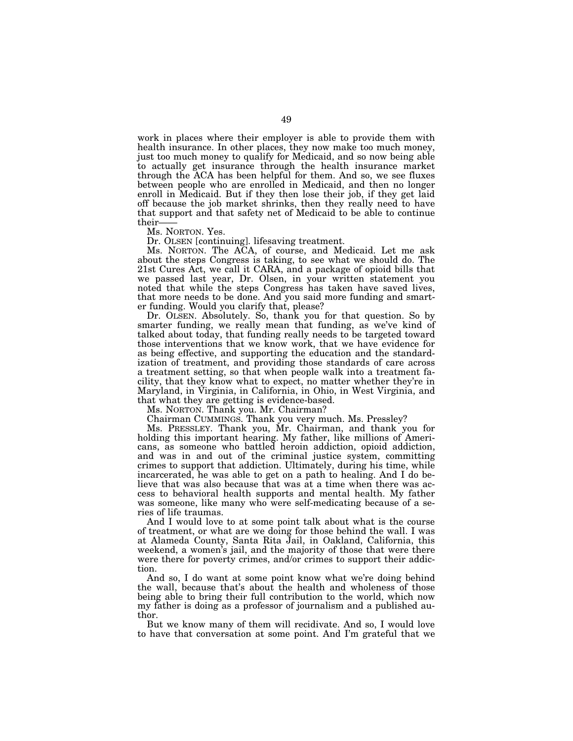work in places where their employer is able to provide them with health insurance. In other places, they now make too much money, just too much money to qualify for Medicaid, and so now being able to actually get insurance through the health insurance market through the ACA has been helpful for them. And so, we see fluxes between people who are enrolled in Medicaid, and then no longer enroll in Medicaid. But if they then lose their job, if they get laid off because the job market shrinks, then they really need to have that support and that safety net of Medicaid to be able to continue their-

Ms. NORTON. Yes.

Dr. OLSEN [continuing]. lifesaving treatment.

Ms. NORTON. The ACA, of course, and Medicaid. Let me ask about the steps Congress is taking, to see what we should do. The 21st Cures Act, we call it CARA, and a package of opioid bills that we passed last year, Dr. Olsen, in your written statement you noted that while the steps Congress has taken have saved lives, that more needs to be done. And you said more funding and smarter funding. Would you clarify that, please?

Dr. OLSEN. Absolutely. So, thank you for that question. So by smarter funding, we really mean that funding, as we've kind of talked about today, that funding really needs to be targeted toward those interventions that we know work, that we have evidence for as being effective, and supporting the education and the standardization of treatment, and providing those standards of care across a treatment setting, so that when people walk into a treatment facility, that they know what to expect, no matter whether they're in Maryland, in Virginia, in California, in Ohio, in West Virginia, and that what they are getting is evidence-based.

Ms. NORTON. Thank you. Mr. Chairman?

Chairman CUMMINGS. Thank you very much. Ms. Pressley?

Ms. PRESSLEY. Thank you, Mr. Chairman, and thank you for holding this important hearing. My father, like millions of Americans, as someone who battled heroin addiction, opioid addiction, and was in and out of the criminal justice system, committing crimes to support that addiction. Ultimately, during his time, while incarcerated, he was able to get on a path to healing. And I do believe that was also because that was at a time when there was access to behavioral health supports and mental health. My father was someone, like many who were self-medicating because of a series of life traumas.

And I would love to at some point talk about what is the course of treatment, or what are we doing for those behind the wall. I was at Alameda County, Santa Rita Jail, in Oakland, California, this weekend, a women's jail, and the majority of those that were there were there for poverty crimes, and/or crimes to support their addiction.

And so, I do want at some point know what we're doing behind the wall, because that's about the health and wholeness of those being able to bring their full contribution to the world, which now my father is doing as a professor of journalism and a published author.

But we know many of them will recidivate. And so, I would love to have that conversation at some point. And I'm grateful that we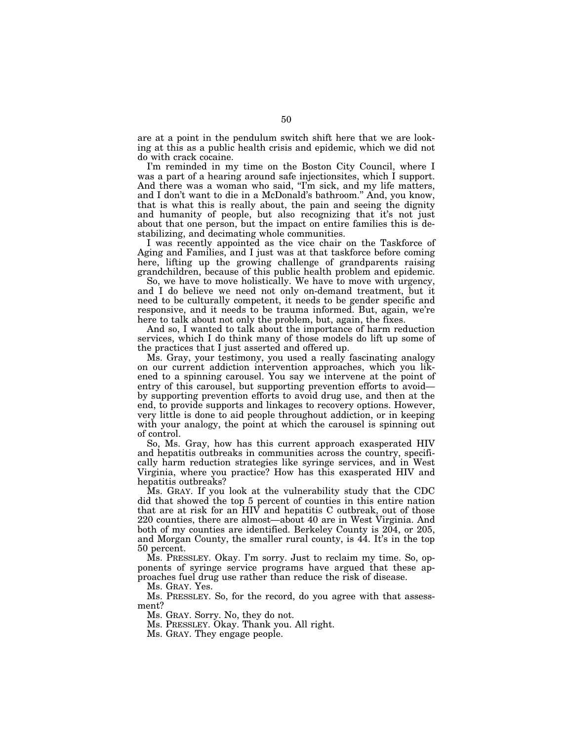are at a point in the pendulum switch shift here that we are looking at this as a public health crisis and epidemic, which we did not do with crack cocaine.

I'm reminded in my time on the Boston City Council, where I was a part of a hearing around safe injectionsites, which I support. And there was a woman who said, "I'm sick, and my life matters, and I don't want to die in a McDonald's bathroom.'' And, you know, that is what this is really about, the pain and seeing the dignity and humanity of people, but also recognizing that it's not just about that one person, but the impact on entire families this is destabilizing, and decimating whole communities.

I was recently appointed as the vice chair on the Taskforce of Aging and Families, and I just was at that taskforce before coming here, lifting up the growing challenge of grandparents raising grandchildren, because of this public health problem and epidemic.

So, we have to move holistically. We have to move with urgency, and I do believe we need not only on-demand treatment, but it need to be culturally competent, it needs to be gender specific and responsive, and it needs to be trauma informed. But, again, we're here to talk about not only the problem, but, again, the fixes.

And so, I wanted to talk about the importance of harm reduction services, which I do think many of those models do lift up some of the practices that I just asserted and offered up.

Ms. Gray, your testimony, you used a really fascinating analogy on our current addiction intervention approaches, which you likened to a spinning carousel. You say we intervene at the point of entry of this carousel, but supporting prevention efforts to avoid by supporting prevention efforts to avoid drug use, and then at the end, to provide supports and linkages to recovery options. However, very little is done to aid people throughout addiction, or in keeping with your analogy, the point at which the carousel is spinning out of control.

So, Ms. Gray, how has this current approach exasperated HIV and hepatitis outbreaks in communities across the country, specifically harm reduction strategies like syringe services, and in West Virginia, where you practice? How has this exasperated HIV and hepatitis outbreaks?

Ms. GRAY. If you look at the vulnerability study that the CDC did that showed the top 5 percent of counties in this entire nation that are at risk for an HIV and hepatitis C outbreak, out of those 220 counties, there are almost—about 40 are in West Virginia. And both of my counties are identified. Berkeley County is 204, or 205, and Morgan County, the smaller rural county, is 44. It's in the top 50 percent.

Ms. PRESSLEY. Okay. I'm sorry. Just to reclaim my time. So, opponents of syringe service programs have argued that these approaches fuel drug use rather than reduce the risk of disease.

Ms. GRAY. Yes.

Ms. PRESSLEY. So, for the record, do you agree with that assessment?

Ms. GRAY. Sorry. No, they do not.

Ms. PRESSLEY. Okay. Thank you. All right.

Ms. GRAY. They engage people.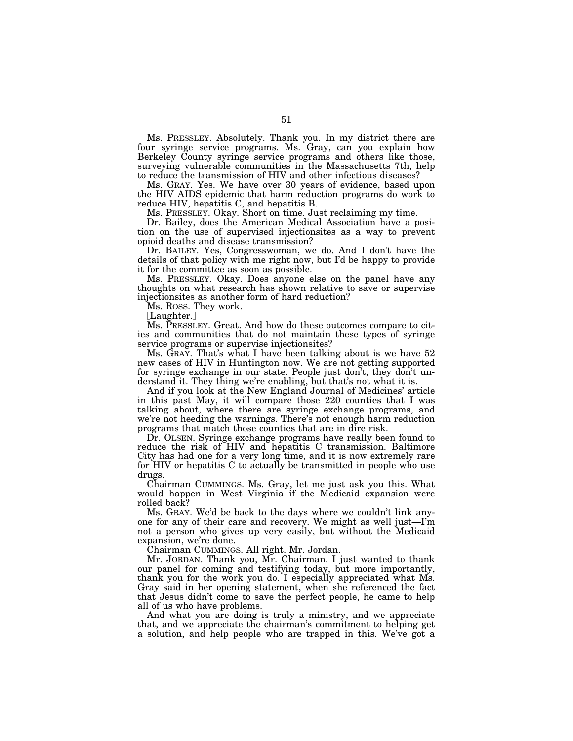Ms. PRESSLEY. Absolutely. Thank you. In my district there are four syringe service programs. Ms. Gray, can you explain how Berkeley County syringe service programs and others like those, surveying vulnerable communities in the Massachusetts 7th, help to reduce the transmission of HIV and other infectious diseases?

Ms. GRAY. Yes. We have over 30 years of evidence, based upon the HIV AIDS epidemic that harm reduction programs do work to reduce HIV, hepatitis C, and hepatitis B.

Ms. PRESSLEY. Okay. Short on time. Just reclaiming my time.

Dr. Bailey, does the American Medical Association have a position on the use of supervised injectionsites as a way to prevent opioid deaths and disease transmission?

Dr. BAILEY. Yes, Congresswoman, we do. And I don't have the details of that policy with me right now, but I'd be happy to provide it for the committee as soon as possible.

Ms. PRESSLEY. Okay. Does anyone else on the panel have any thoughts on what research has shown relative to save or supervise injectionsites as another form of hard reduction?

Ms. ROSS. They work.

[Laughter.]

Ms. PRESSLEY. Great. And how do these outcomes compare to cities and communities that do not maintain these types of syringe service programs or supervise injectionsites?

Ms. GRAY. That's what I have been talking about is we have 52 new cases of HIV in Huntington now. We are not getting supported for syringe exchange in our state. People just don't, they don't understand it. They thing we're enabling, but that's not what it is.

And if you look at the New England Journal of Medicines' article in this past May, it will compare those 220 counties that I was talking about, where there are syringe exchange programs, and we're not heeding the warnings. There's not enough harm reduction programs that match those counties that are in dire risk.

Dr. OLSEN. Syringe exchange programs have really been found to reduce the risk of HIV and hepatitis C transmission. Baltimore City has had one for a very long time, and it is now extremely rare for HIV or hepatitis C to actually be transmitted in people who use drugs.

Chairman CUMMINGS. Ms. Gray, let me just ask you this. What would happen in West Virginia if the Medicaid expansion were rolled back?

Ms. GRAY. We'd be back to the days where we couldn't link anyone for any of their care and recovery. We might as well just—I'm not a person who gives up very easily, but without the Medicaid expansion, we're done.

Chairman CUMMINGS. All right. Mr. Jordan.

Mr. JORDAN. Thank you, Mr. Chairman. I just wanted to thank our panel for coming and testifying today, but more importantly, thank you for the work you do. I especially appreciated what Ms. Gray said in her opening statement, when she referenced the fact that Jesus didn't come to save the perfect people, he came to help all of us who have problems.

And what you are doing is truly a ministry, and we appreciate that, and we appreciate the chairman's commitment to helping get a solution, and help people who are trapped in this. We've got a